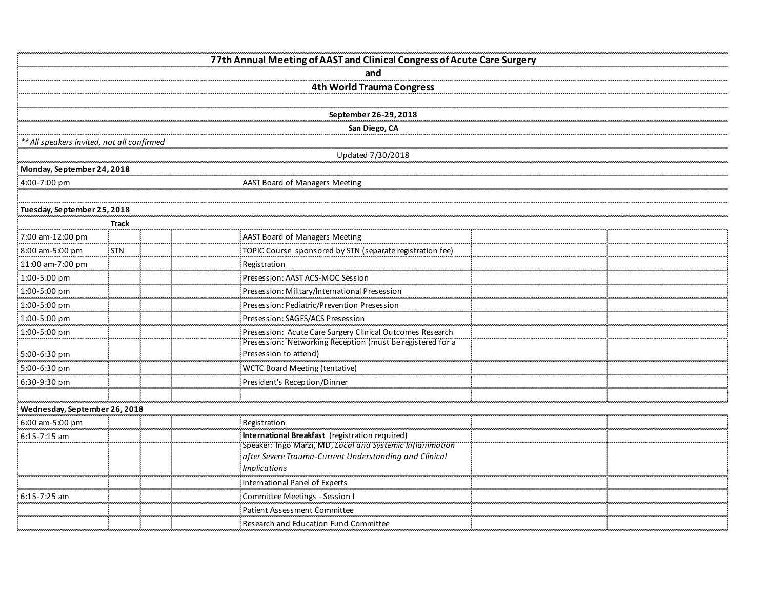|                                            |            | 77th Annual Meeting of AAST and Clinical Congress of Acute Care Surgery             |  |
|--------------------------------------------|------------|-------------------------------------------------------------------------------------|--|
|                                            |            | and                                                                                 |  |
|                                            |            | 4th World Trauma Congress                                                           |  |
|                                            |            |                                                                                     |  |
|                                            |            | September 26-29, 2018                                                               |  |
|                                            |            | San Diego, CA                                                                       |  |
| ** All speakers invited, not all confirmed |            |                                                                                     |  |
|                                            |            | Updated 7/30/2018                                                                   |  |
| Monday, September 24, 2018                 |            |                                                                                     |  |
| 4:00-7:00 pm                               |            | AAST Board of Managers Meeting                                                      |  |
|                                            |            |                                                                                     |  |
| Tuesday, September 25, 2018                |            |                                                                                     |  |
|                                            | Track      |                                                                                     |  |
| 7:00 am-12:00 pm                           |            | AAST Board of Managers Meeting                                                      |  |
| 8:00 am-5:00 pm                            | <b>STN</b> | TOPIC Course sponsored by STN (separate registration fee)                           |  |
| 11:00 am-7:00 pm                           |            | Registration                                                                        |  |
| 1:00-5:00 pm                               |            | Presession: AAST ACS-MOC Session                                                    |  |
| 1:00-5:00 pm                               |            | Presession: Military/International Presession                                       |  |
| 1:00-5:00 pm                               |            | Presession: Pediatric/Prevention Presession                                         |  |
| 1:00-5:00 pm                               |            | Presession: SAGES/ACS Presession                                                    |  |
| 1:00-5:00 pm                               |            | Presession: Acute Care Surgery Clinical Outcomes Research                           |  |
| 5:00-6:30 pm                               |            | Presession: Networking Reception (must be registered for a<br>Presession to attend) |  |
|                                            |            |                                                                                     |  |
| 5:00-6:30 pm<br>6:30-9:30 pm               |            | WCTC Board Meeting (tentative)<br>President's Reception/Dinner                      |  |
|                                            |            |                                                                                     |  |
| Wednesday, September 26, 2018              |            |                                                                                     |  |
| 6:00 am-5:00 pm                            |            | Registration                                                                        |  |
| $6:15 - 7:15$ am                           |            | International Breakfast (registration required)                                     |  |
|                                            |            | Speaker: Ingo Marzi, MD, Local and Systemic Inflammation                            |  |
|                                            |            | after Severe Trauma-Current Understanding and Clinical                              |  |
|                                            |            | <b>Implications</b>                                                                 |  |
|                                            |            | International Panel of Experts                                                      |  |
| $6:15 - 7:25$ am                           |            | Committee Meetings - Session I                                                      |  |
|                                            |            | <b>Patient Assessment Committee</b>                                                 |  |
|                                            |            | Research and Education Fund Committee                                               |  |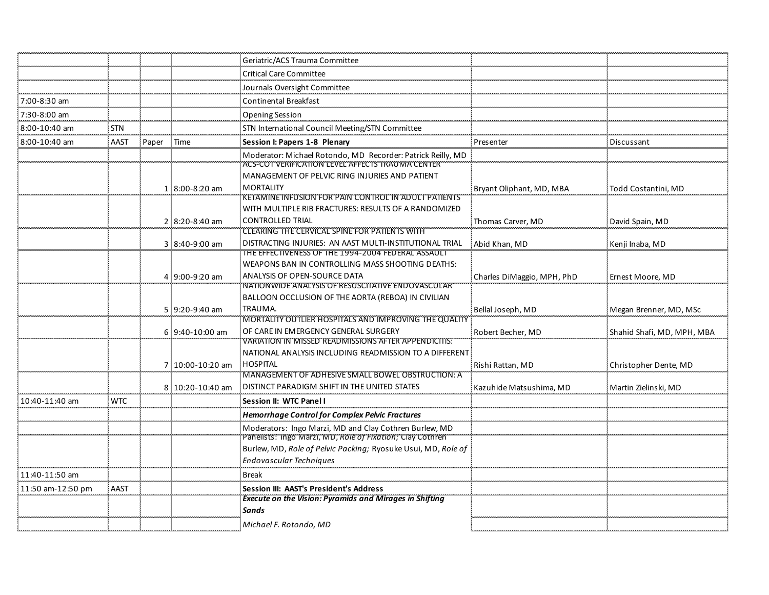|                   |            |       |                  | Geriatric/ACS Trauma Committee                                                                                             |                            |                            |
|-------------------|------------|-------|------------------|----------------------------------------------------------------------------------------------------------------------------|----------------------------|----------------------------|
|                   |            |       |                  | <b>Critical Care Committee</b>                                                                                             |                            |                            |
|                   |            |       |                  | Journals Oversight Committee                                                                                               |                            |                            |
| 7:00-8:30 am      |            |       |                  | Continental Breakfast                                                                                                      |                            |                            |
| 7:30-8:00 am      |            |       |                  | <b>Opening Session</b>                                                                                                     |                            |                            |
| 8:00-10:40 am     | STN        |       |                  | STN International Council Meeting/STN Committee                                                                            |                            |                            |
| 8:00-10:40 am     | AAST       | Paper | : Time           | Session I: Papers 1-8 Plenary                                                                                              | Presentei                  | Discussant                 |
|                   |            |       |                  | Moderator: Michael Rotondo, MD Recorder: Patrick Reilly, MD<br>ACS-COT VERIFICATION LEVEL AFFECTS TRAUMA CENTER            |                            |                            |
|                   |            |       |                  | MANAGEMENT OF PELVIC RING INJURIES AND PATIENT                                                                             |                            |                            |
|                   |            |       | 1 8:00-8:20 am   | <b>MORTALITY</b>                                                                                                           | Bryant Oliphant, MD, MBA   | Todd Costantini, MD        |
|                   |            |       |                  | <b>KETAMINE INFUSION FOR PAIN CONTROL IN ADULT PATIENTS</b>                                                                |                            |                            |
|                   |            |       |                  | WITH MULTIPLE RIB FRACTURES: RESULTS OF A RANDOMIZED<br><b>CONTROLLED TRIAL</b>                                            |                            |                            |
|                   |            |       | 2 8:20-8:40 am   | <b>CLEARING THE CERVICAL SPINE FOR PATIENTS WITH</b>                                                                       | Thomas Carver, MD          | David Spain, MD            |
|                   |            |       | 3 8:40-9:00 am   | DISTRACTING INJURIES: AN AAST MULTI-INSTITUTIONAL TRIAL                                                                    | Abid Khan, MD              | Kenji Inaba, MD            |
|                   |            |       |                  | THE EFFECTIVENESS OF THE 1994-2004 FEDERAL ASSAULT                                                                         |                            |                            |
|                   |            |       |                  | WEAPONS BAN IN CONTROLLING MASS SHOOTING DEATHS:                                                                           |                            |                            |
|                   |            |       | 4 9:00-9:20 am   | ANALYSIS OF OPEN-SOURCE DATA<br>NATIONWIDE ANALYSIS OF RESUSCITATIVE ENDOVASCULAR                                          | Charles DiMaggio, MPH, PhD | Ernest Moore, MD           |
|                   |            |       |                  | BALLOON OCCLUSION OF THE AORTA (REBOA) IN CIVILIAN                                                                         |                            |                            |
|                   |            |       | 5 9:20-9:40 am   | TRAUMA.                                                                                                                    | Bellal Joseph, MD          | Megan Brenner, MD, MSc     |
|                   |            |       |                  | MORTALITY OUTLIER HOSPITALS AND IMPROVING THE QUALITY                                                                      |                            |                            |
|                   |            |       | 6 9:40-10:00 am  | OF CARE IN EMERGENCY GENERAL SURGERY<br>VARIATION IN MISSED READMISSIONS AFTER APPENDICITIS.                               | Robert Becher, MD          | Shahid Shafi, MD, MPH, MBA |
|                   |            |       |                  | NATIONAL ANALYSIS INCLUDING READMISSION TO A DIFFERENT                                                                     |                            |                            |
|                   |            |       | 7:10:00-10:20 am | <b>HOSPITAL</b>                                                                                                            | Rishi Rattan, MD           | Christopher Dente, MD      |
|                   |            |       |                  | MANAGEMENT OF ADHESIVE SMALL BOWEL OBSTRUCTION: A                                                                          |                            |                            |
|                   |            |       | 8 10:20-10:40 am | DISTINCT PARADIGM SHIFT IN THE UNITED STATES                                                                               | Kazuhide Matsushima, MD    | Martin Zielinski, MD       |
| 10:40-11:40 am    | <b>WTC</b> |       |                  | Session II: WTC Panel I                                                                                                    |                            |                            |
|                   |            |       |                  | <b>Hemorrhage Control for Complex Pelvic Fractures</b>                                                                     |                            |                            |
|                   |            |       |                  | Moderators: Ingo Marzi, MD and Clay Cothren Burlew, MD                                                                     |                            |                            |
|                   |            |       |                  | Panelists: Ingo Marzi, MD, Role of Fixation; Clay Cothren<br>Burlew, MD, Role of Pelvic Packing; Ryosuke Usui, MD, Role of |                            |                            |
|                   |            |       |                  | Endovascular Techniques                                                                                                    |                            |                            |
| 11:40-11:50 am    |            |       |                  | <b>Break</b>                                                                                                               |                            |                            |
|                   |            |       |                  | Session III: AAST's President's Address                                                                                    |                            |                            |
| 11:50 am-12:50 pm | AAST       |       |                  | <b>Execute on the Vision: Pyramids and Mirages in Shifting</b>                                                             |                            |                            |
|                   |            |       |                  | <b>Sands</b>                                                                                                               |                            |                            |
|                   |            |       |                  | Michael F. Rotondo, MD                                                                                                     |                            |                            |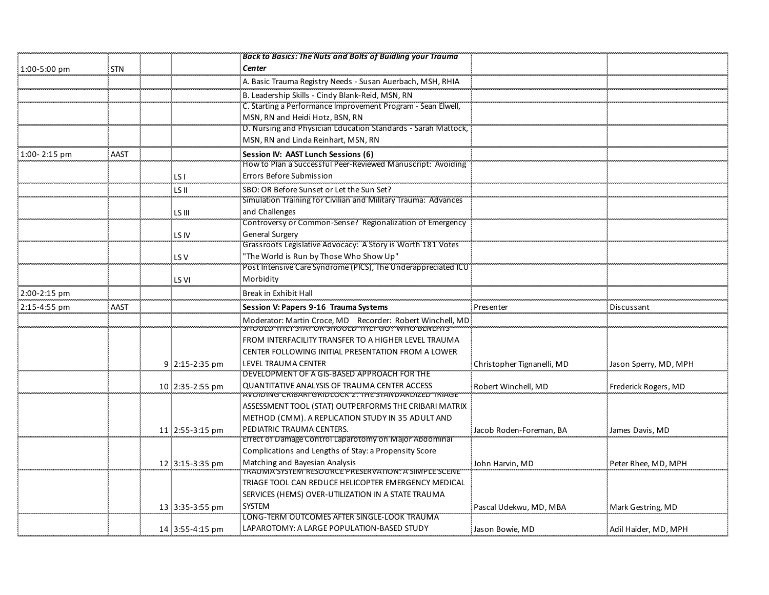|                  |            |                 | <b>Back to Basics: The Nuts and Bolts of Buidling your Trauma</b>                                                                               |                            |                       |
|------------------|------------|-----------------|-------------------------------------------------------------------------------------------------------------------------------------------------|----------------------------|-----------------------|
| 1:00-5:00 pm     | <b>STN</b> |                 | Center                                                                                                                                          |                            |                       |
|                  |            |                 | A. Basic Trauma Registry Needs - Susan Auerbach, MSH, RHIA                                                                                      |                            |                       |
|                  |            |                 | B. Leadership Skills - Cindy Blank-Reid, MSN, RN                                                                                                |                            |                       |
|                  |            |                 | C. Starting a Performance Improvement Program - Sean Elwell,                                                                                    |                            |                       |
|                  |            |                 | MSN, RN and Heidi Hotz, BSN, RN                                                                                                                 |                            |                       |
|                  |            |                 | D. Nursing and Physician Education Standards - Sarah Mattock,                                                                                   |                            |                       |
|                  |            |                 | MSN, RN and Linda Reinhart, MSN, RN                                                                                                             |                            |                       |
| $1:00 - 2:15$ pm | AAST       |                 | Session IV: AAST Lunch Sessions (6)                                                                                                             |                            |                       |
|                  |            |                 | How to Plan a Successful Peer-Reviewed Manuscript: Avoiding                                                                                     |                            |                       |
|                  |            | LSI             | Errors Before Submission                                                                                                                        |                            |                       |
|                  |            | LS II           | SBO: OR Before Sunset or Let the Sun Set?                                                                                                       |                            |                       |
|                  |            |                 | Simulation Training for Civilian and Military Trauma: Advances                                                                                  |                            |                       |
|                  |            | LS III          | and Challenges                                                                                                                                  |                            |                       |
|                  |            |                 | Controversy or Common-Sense? Regionalization of Emergency                                                                                       |                            |                       |
|                  |            | LS IV           | <b>General Surgery</b>                                                                                                                          |                            |                       |
|                  |            |                 | Grassroots Legislative Advocacy: A Story is Worth 181 Votes                                                                                     |                            |                       |
|                  |            | LS V            | "The World is Run by Those Who Show Up"                                                                                                         |                            |                       |
|                  |            |                 | Post Intensive Care Syndrome (PICS), The Underappreciated ICU                                                                                   |                            |                       |
|                  |            | LS VI           | Morbidity                                                                                                                                       |                            |                       |
| 2:00-2:15 pm     |            |                 | Break in Exhibit Hall                                                                                                                           |                            |                       |
| 2:15-4:55 pm     | AAST       |                 | Session V: Papers 9-16 Trauma Systems                                                                                                           | Presenter                  | Discussant            |
|                  |            |                 | Moderator: Martin Croce, MD Recorder: Robert Winchell, MD<br>"לאוד שטעט אט אס איז "טעטאל" און דעם אט איז דעם אט איז דעם אט איז דעם אט איז דעם א |                            |                       |
|                  |            |                 | FROM INTERFACILITY TRANSFER TO A HIGHER LEVEL TRAUMA                                                                                            |                            |                       |
|                  |            |                 | CENTER FOLLOWING INITIAL PRESENTATION FROM A LOWER                                                                                              |                            |                       |
|                  |            | 9 2:15-2:35 pm  | LEVEL TRAUMA CENTER                                                                                                                             | Christopher Tignanelli, MD | Jason Sperry, MD, MPH |
|                  |            |                 | DEVELOPMENT OF A GIS-BASED APPROACH FOR THE                                                                                                     |                            |                       |
|                  |            | 10:2:35-2:55 pm | <b>QUANTITATIVE ANALYSIS OF TRAUMA CENTER ACCESS</b>                                                                                            | Robert Winchell, MD        | Frederick Rogers, MD  |
|                  |            |                 | AVOIDING CRIBARI GRIDLOCK 2. THE STANDARDIZED TRIAGE                                                                                            |                            |                       |
|                  |            |                 | ASSESSMENT TOOL (STAT) OUTPERFORMS THE CRIBARI MATRIX                                                                                           |                            |                       |
|                  |            |                 | METHOD (CMM). A REPLICATION STUDY IN 35 ADULT AND                                                                                               |                            |                       |
|                  |            | 11 2:55-3:15 pm | PEDIATRIC TRAUMA CENTERS.                                                                                                                       | Jacob Roden-Foreman, BA    | James Davis, MD       |
|                  |            |                 | Effect of Damage Control Laparotomy on Major Abdominal                                                                                          |                            |                       |
|                  |            |                 | Complications and Lengths of Stay: a Propensity Score                                                                                           |                            |                       |
|                  |            | 12 3:15-3:35 pm | Matching and Bayesian Analysis<br>IRAUMA SISTEM RESUURCE PRESERVATION. A SIMPLE SCENE                                                           | John Harvin, MD            | Peter Rhee, MD, MPH   |
|                  |            |                 | TRIAGE TOOL CAN REDUCE HELICOPTER EMERGENCY MEDICAL                                                                                             |                            |                       |
|                  |            |                 | SERVICES (HEMS) OVER-UTILIZATION IN A STATE TRAUMA                                                                                              |                            |                       |
|                  |            | 13 3:35-3:55 pm | <b>SYSTEM</b>                                                                                                                                   | Pascal Udekwu, MD, MBA     | Mark Gestring, MD     |
|                  |            |                 | LONG-TERM OUTCOMES AFTER SINGLE-LOOK TRAUMA                                                                                                     |                            |                       |
|                  |            | 14 3:55-4:15 pm | LAPAROTOMY: A LARGE POPULATION-BASED STUDY                                                                                                      | Jason Bowie, MD            | Adil Haider, MD, MPH  |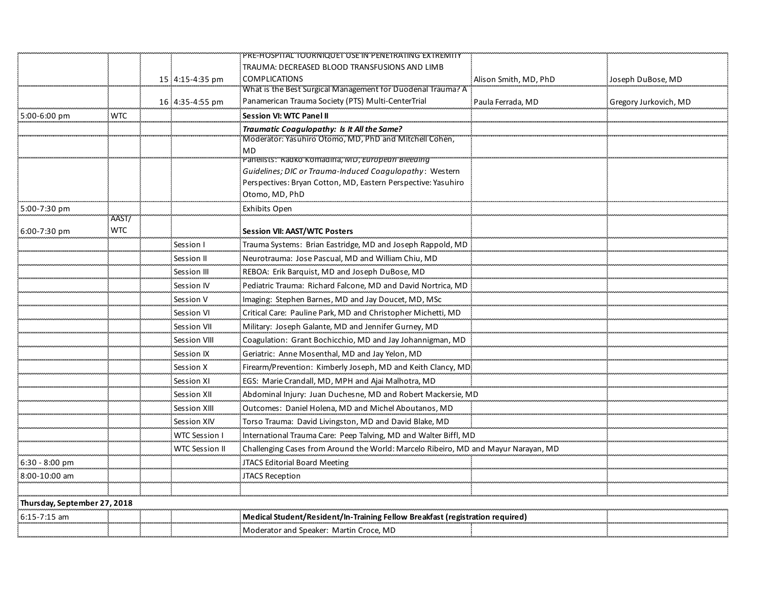|                              |                     |                       | PRE-HOSPITAL TOURNIQUET USE IN PENETRATING EXTREMITY                               |                       |                       |
|------------------------------|---------------------|-----------------------|------------------------------------------------------------------------------------|-----------------------|-----------------------|
|                              |                     |                       | TRAUMA: DECREASED BLOOD TRANSFUSIONS AND LIMB                                      |                       |                       |
|                              |                     | 15:4:15-4:35 pm       | <b>COMPLICATIONS</b>                                                               | Alison Smith, MD, PhD | Joseph DuBose, MD     |
|                              |                     |                       | What is the Best Surgical Management for Duodenal Trauma? A                        |                       |                       |
|                              |                     | 16 4:35-4:55 pm       | Panamerican Trauma Society (PTS) Multi-CenterTrial                                 | Paula Ferrada, MD     | Gregory Jurkovich, MD |
| 5:00-6:00 pm                 | <b>WTC</b>          |                       | <b>Session VI: WTC Panel II</b>                                                    |                       |                       |
|                              |                     |                       | Traumatic Coagulopathy: Is It All the Same?                                        |                       |                       |
|                              |                     |                       | Moderator: Yasuhiro Otomo, MD, PhD and Mitchell Cohen,<br>MD                       |                       |                       |
|                              |                     |                       | Panensts: Radko Komadina, Mo, Europeun Breeding                                    |                       |                       |
|                              |                     |                       | Guidelines; DIC or Trauma-Induced Coagulopathy: Western                            |                       |                       |
|                              |                     |                       | Perspectives: Bryan Cotton, MD, Eastern Perspective: Yasuhiro                      |                       |                       |
|                              |                     |                       | Otomo, MD, PhD                                                                     |                       |                       |
| 5:00-7:30 pm                 |                     |                       | Exhibits Open                                                                      |                       |                       |
| 6:00-7:30 pm                 | AAST/<br><b>WTC</b> |                       | <b>Session VII: AAST/WTC Posters</b>                                               |                       |                       |
|                              |                     | Session I             | Trauma Systems: Brian Eastridge, MD and Joseph Rappold, MD                         |                       |                       |
|                              |                     | Session II            | Neurotrauma: Jose Pascual, MD and William Chiu, MD                                 |                       |                       |
|                              |                     | Session III           | REBOA: Erik Barquist, MD and Joseph DuBose, MD                                     |                       |                       |
|                              |                     | Session IV            | Pediatric Trauma: Richard Falcone, MD and David Nortrica, MD                       |                       |                       |
|                              |                     | Session V             | Imaging: Stephen Barnes, MD and Jay Doucet, MD, MSc                                |                       |                       |
|                              |                     | Session VI            | Critical Care: Pauline Park, MD and Christopher Michetti, MD                       |                       |                       |
|                              |                     | Session VII           | Military: Joseph Galante, MD and Jennifer Gurney, MD                               |                       |                       |
|                              |                     | Session VIII          | Coagulation: Grant Bochicchio, MD and Jay Johannigman, MD                          |                       |                       |
|                              |                     | Session IX            | Geriatric: Anne Mosenthal, MD and Jay Yelon, MD                                    |                       |                       |
|                              |                     | Session X             | Firearm/Prevention: Kimberly Joseph, MD and Keith Clancy, MD                       |                       |                       |
|                              |                     | Session XI            | EGS: Marie Crandall, MD, MPH and Ajai Malhotra, MD                                 |                       |                       |
|                              |                     | Session XII           | Abdominal Injury: Juan Duchesne, MD and Robert Mackersie, MD                       |                       |                       |
|                              |                     | Session XIII          | Outcomes: Daniel Holena, MD and Michel Aboutanos, MD                               |                       |                       |
|                              |                     | Session XIV           | Torso Trauma: David Livingston, MD and David Blake, MD                             |                       |                       |
|                              |                     | WTC Session I         | International Trauma Care: Peep Talving, MD and Walter Biffl, MD                   |                       |                       |
|                              |                     | <b>WTC Session II</b> | Challenging Cases from Around the World: Marcelo Ribeiro, MD and Mayur Narayan, MD |                       |                       |
| 6:30 - 8:00 pm               |                     |                       | JTACS Editorial Board Meeting                                                      |                       |                       |
| 8:00-10:00 am                |                     |                       | <b>JTACS Reception</b>                                                             |                       |                       |
|                              |                     |                       |                                                                                    |                       |                       |
| Thursday, September 27, 2018 |                     |                       |                                                                                    |                       |                       |
| 6:15-7:15 am                 |                     |                       | Medical Student/Resident/In-Training Fellow Breakfast (registration required)      |                       |                       |
|                              |                     |                       | Moderator and Speaker: Martin Croce, MD                                            |                       |                       |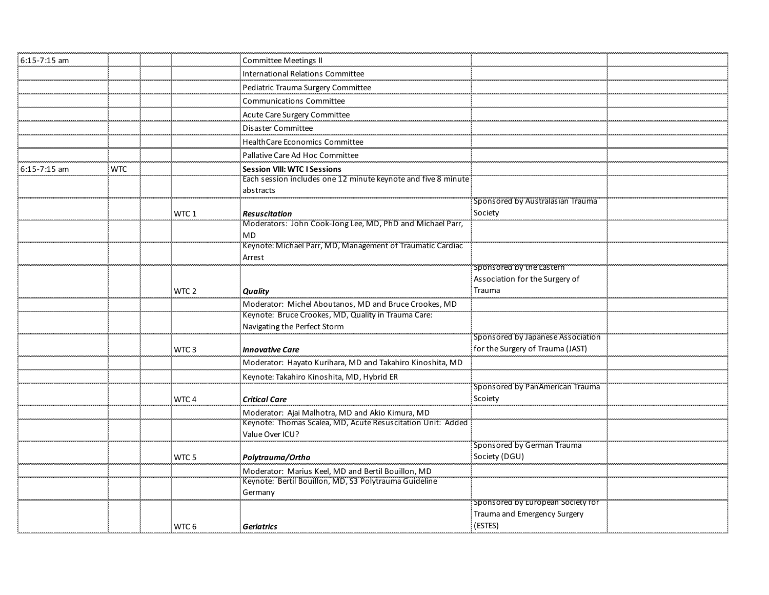| 6:15-7:15 am     |            |                  | <b>Committee Meetings II</b>                                                                                    |                                            |  |
|------------------|------------|------------------|-----------------------------------------------------------------------------------------------------------------|--------------------------------------------|--|
|                  |            |                  | International Relations Committee                                                                               |                                            |  |
|                  |            |                  | Pediatric Trauma Surgery Committee                                                                              |                                            |  |
|                  |            |                  | <b>Communications Committee</b>                                                                                 |                                            |  |
|                  |            |                  | Acute Care Surgery Committee                                                                                    |                                            |  |
|                  |            |                  | <b>Disaster Committee</b>                                                                                       |                                            |  |
|                  |            |                  | HealthCare Economics Committee                                                                                  |                                            |  |
|                  |            |                  | Pallative Care Ad Hoc Committee                                                                                 |                                            |  |
| $6:15 - 7:15$ am | <b>WTC</b> |                  | <b>Session VIII: WTC I Sessions</b>                                                                             |                                            |  |
|                  |            |                  | Each session includes one 12 minute keynote and five 8 minute                                                   |                                            |  |
|                  |            |                  | abstracts                                                                                                       |                                            |  |
|                  |            |                  |                                                                                                                 | Sponsored by Australasian Trauma           |  |
|                  |            | WTC 1            | <b>Resuscitation</b><br>Moderators: John Cook-Jong Lee, MD, PhD and Michael Parr,                               | Society                                    |  |
|                  |            |                  | MD                                                                                                              |                                            |  |
|                  |            |                  | Keynote: Michael Parr, MD, Management of Traumatic Cardiac                                                      |                                            |  |
|                  |            |                  | Arrest                                                                                                          |                                            |  |
|                  |            |                  |                                                                                                                 | Sponsored by the Eastern                   |  |
|                  |            |                  |                                                                                                                 | Association for the Surgery of             |  |
|                  |            | WTC <sub>2</sub> | <b>Quality</b>                                                                                                  | Trauma                                     |  |
|                  |            |                  | Moderator: Michel Aboutanos, MD and Bruce Crookes, MD                                                           |                                            |  |
|                  |            |                  | Keynote: Bruce Crookes, MD, Quality in Trauma Care:                                                             |                                            |  |
|                  |            |                  | Navigating the Perfect Storm                                                                                    |                                            |  |
|                  |            |                  |                                                                                                                 | Sponsored by Japanese Association          |  |
|                  |            | WTC <sub>3</sub> | <b>Innovative Care</b>                                                                                          | for the Surgery of Trauma (JAST)           |  |
|                  |            |                  | Moderator: Hayato Kurihara, MD and Takahiro Kinoshita, MD                                                       |                                            |  |
|                  |            |                  | Keynote: Takahiro Kinoshita, MD, Hybrid ER                                                                      |                                            |  |
|                  |            |                  |                                                                                                                 | Sponsored by PanAmerican Trauma<br>Scoiety |  |
|                  |            | WTC <sub>4</sub> | <b>Critical Care</b>                                                                                            |                                            |  |
|                  |            |                  | Moderator: Ajai Malhotra, MD and Akio Kimura, MD<br>Keynote: Thomas Scalea, MD, Acute Resuscitation Unit: Added |                                            |  |
|                  |            |                  | Value Over ICU?                                                                                                 |                                            |  |
|                  |            |                  |                                                                                                                 | Sponsored by German Trauma                 |  |
|                  |            | WTC <sub>5</sub> | Polytrauma/Ortho                                                                                                | Society (DGU)                              |  |
|                  |            |                  | Moderator: Marius Keel, MD and Bertil Bouillon, MD                                                              |                                            |  |
|                  |            |                  | Keynote: Bertil Bouillon, MD, S3 Polytrauma Guideline                                                           |                                            |  |
|                  |            |                  | Germany                                                                                                         |                                            |  |
|                  |            |                  |                                                                                                                 | Sponsored by European Society for          |  |
|                  |            |                  |                                                                                                                 | Trauma and Emergency Surgery<br>(ESTES)    |  |
|                  |            | WTC 6            | <b>Geriatrics</b>                                                                                               |                                            |  |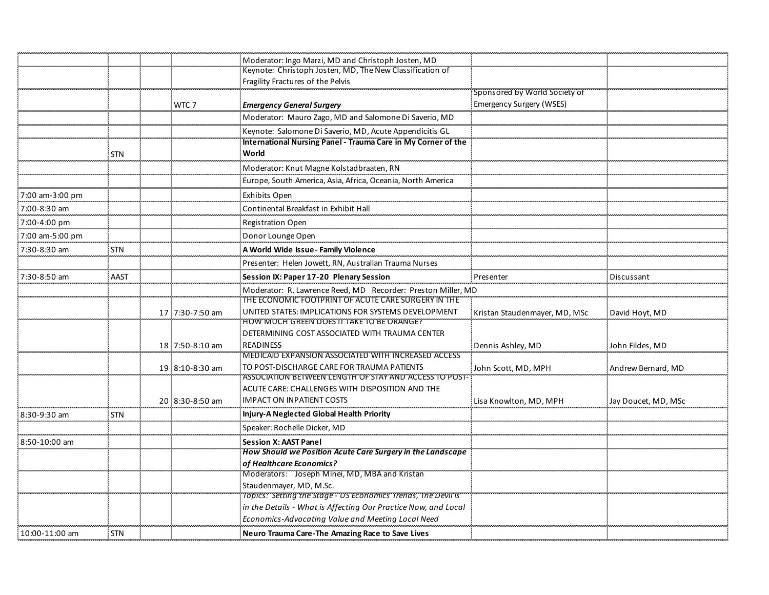|                 |            |                 | Moderator: Ingo Marzi, MD and Christoph Josten, MD                                                         |                               |                     |
|-----------------|------------|-----------------|------------------------------------------------------------------------------------------------------------|-------------------------------|---------------------|
|                 |            |                 | Keynote: Christoph Josten, MD, The New Classification of                                                   |                               |                     |
|                 |            |                 | Fragility Fractures of the Pelvis                                                                          |                               |                     |
|                 |            |                 |                                                                                                            | Sponsored by World Society of |                     |
|                 |            | WTC 7           | <b>Emergency General Surgery</b>                                                                           | Emergency Surgery (WSES)      |                     |
|                 |            |                 | Moderator: Mauro Zago, MD and Salomone Di Saverio, MD                                                      |                               |                     |
|                 |            |                 | Keynote: Salomone Di Saverio, MD, Acute Appendicitis GL                                                    |                               |                     |
|                 | <b>STN</b> |                 | International Nursing Panel - Trauma Care in My Corner of the<br>World                                     |                               |                     |
|                 |            |                 | Moderator: Knut Magne Kolstadbraaten, RN                                                                   |                               |                     |
|                 |            |                 | Europe, South America, Asia, Africa, Oceania, North America                                                |                               |                     |
| 7:00 am-3:00 pm |            |                 | <b>Exhibits Open</b>                                                                                       |                               |                     |
| 7:00-8:30 am    |            |                 | Continental Breakfast in Exhibit Hall                                                                      |                               |                     |
| 7:00-4:00 pm    |            |                 | Registration Open                                                                                          |                               |                     |
| 7:00 am-5:00 pm |            |                 | Donor Lounge Open                                                                                          |                               |                     |
| 7:30-8:30 am    | <b>STN</b> |                 | A World Wide Issue-Family Violence                                                                         |                               |                     |
|                 |            |                 | Presenter: Helen Jowett, RN, Australian Trauma Nurses                                                      |                               |                     |
| 7:30-8:50 am    | AAST       |                 | Session IX: Paper 17-20 Plenary Session                                                                    | Presenter                     | Discussant          |
|                 |            |                 | Moderator: R. Lawrence Reed, MD Recorder: Preston Miller, MD                                               |                               |                     |
|                 |            |                 | THE ECONOMIC FOOTPRINT OF ACUTE CARE SURGERY IN THE<br>UNITED STATES: IMPLICATIONS FOR SYSTEMS DEVELOPMENT |                               |                     |
|                 |            | 17:7:30-7:50 am | HOW MUCH GREEN DOES IT TAKE TO BE ORANGE?"                                                                 | Kristan Staudenmayer, MD, MSc | David Hoyt, MD      |
|                 |            |                 | DETERMINING COST ASSOCIATED WITH TRAUMA CENTER                                                             |                               |                     |
|                 |            | 18 7:50-8:10 am | <b>READINESS</b>                                                                                           | Dennis Ashley, MD             | John Fildes, MD     |
|                 |            |                 | MEDICAID EXPANSION ASSOCIATED WITH INCREASED ACCESS                                                        |                               |                     |
|                 |            | 19 8:10-8:30 am | TO POST-DISCHARGE CARE FOR TRAUMA PATIENTS                                                                 | John Scott, MD, MPH           | Andrew Bernard, MD  |
|                 |            |                 | ASSOCIATION BETWEEN LENGTH OF STAY AND ACCESS TO POST-                                                     |                               |                     |
|                 |            |                 | ACUTE CARE: CHALLENGES WITH DISPOSITION AND THE                                                            |                               |                     |
|                 |            | 20 8:30-8:50 am | <b>IMPACT ON INPATIENT COSTS</b>                                                                           | Lisa Knowlton, MD, MPH        | Jay Doucet, MD, MSc |
| 8:30-9:30 am    | <b>STN</b> |                 | Injury-A Neglected Global Health Priority                                                                  |                               |                     |
|                 |            |                 | Speaker: Rochelle Dicker, MD                                                                               |                               |                     |
| 8:50-10:00 am   |            |                 | <b>Session X: AAST Panel</b>                                                                               |                               |                     |
|                 |            |                 | How Should we Position Acute Care Surgery in the Landscape<br>of Healthcare Economics?                     |                               |                     |
|                 |            |                 | Moderators: Joseph Minei, MD, MBA and Kristan                                                              |                               |                     |
|                 |            |                 | Staudenmayer, MD, M.Sc.                                                                                    |                               |                     |
|                 |            |                 | Topics: Setting the Stage - US Economics Trenas, The Devil is                                              |                               |                     |
|                 |            |                 | in the Details - What is Affecting Our Practice Now, and Local                                             |                               |                     |
|                 |            |                 | Economics-Advocating Value and Meeting Local Need                                                          |                               |                     |
| 10:00-11:00 am  | <b>STN</b> |                 | Neuro Trauma Care-The Amazing Race to Save Lives                                                           |                               |                     |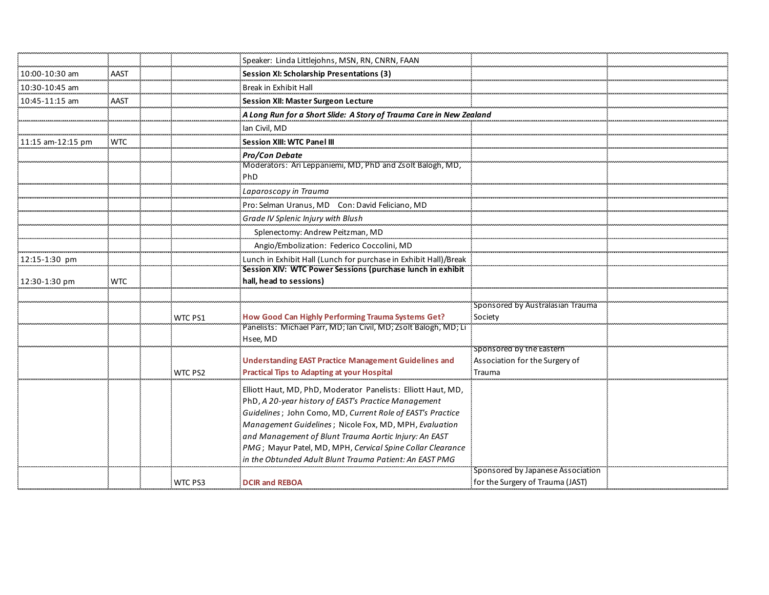|                   |            |                | Speaker: Linda Littlejohns, MSN, RN, CNRN, FAAN                                                                       |                                                            |  |
|-------------------|------------|----------------|-----------------------------------------------------------------------------------------------------------------------|------------------------------------------------------------|--|
| 10:00-10:30 am    | AAST       |                | Session XI: Scholarship Presentations (3)                                                                             |                                                            |  |
| 10:30-10:45 am    |            |                | Break in Exhibit Hall                                                                                                 |                                                            |  |
| 10:45-11:15 am    | AAST       |                | Session XII: Master Surgeon Lecture                                                                                   |                                                            |  |
|                   |            |                | A Long Run for a Short Slide: A Story of Trauma Care in New Zealand                                                   |                                                            |  |
|                   |            |                | lan Civil, MD                                                                                                         |                                                            |  |
| 11:15 am-12:15 pm | <b>WTC</b> |                | <b>Session XIII: WTC Panel II</b>                                                                                     |                                                            |  |
|                   |            |                | <b>Pro/Con Debate</b>                                                                                                 |                                                            |  |
|                   |            |                | Moderators: Ari Leppaniemi, MD, PhD and Zsolt Balogh, MD,                                                             |                                                            |  |
|                   |            |                | <b>PhD</b>                                                                                                            |                                                            |  |
|                   |            |                | Laparoscopy in Trauma                                                                                                 |                                                            |  |
|                   |            |                | Pro: Selman Uranus, MD Con: David Feliciano, MD                                                                       |                                                            |  |
|                   |            |                | Grade IV Splenic Injury with Blush                                                                                    |                                                            |  |
|                   |            |                | Splenectomy: Andrew Peitzman, MD                                                                                      |                                                            |  |
|                   |            |                | Angio/Embolization: Federico Coccolini, MD                                                                            |                                                            |  |
| 12:15-1:30 pm     |            |                | Lunch in Exhibit Hall (Lunch for purchase in Exhibit Hall)/Break                                                      |                                                            |  |
|                   |            |                | Session XIV: WTC Power Sessions (purchase lunch in exhibit<br>hall, head to sessions)                                 |                                                            |  |
| 12:30-1:30 pm     | <b>WTC</b> |                |                                                                                                                       |                                                            |  |
|                   |            |                |                                                                                                                       | Sponsored by Australasian Trauma                           |  |
|                   |            | <b>WTC PS1</b> | How Good Can Highly Performing Trauma Systems Get?                                                                    | Society                                                    |  |
|                   |            |                | Panelists: Michael Parr, MD; Ian Civil, MD; Zsolt Balogh, MD; Li                                                      |                                                            |  |
|                   |            |                | Hsee, MD                                                                                                              |                                                            |  |
|                   |            |                | <b>Understanding EAST Practice Management Guidelines and</b>                                                          | Sponsored by the Eastern<br>Association for the Surgery of |  |
|                   |            | WTC PS2        | <b>Practical Tips to Adapting at your Hospital</b>                                                                    | Trauma                                                     |  |
|                   |            |                |                                                                                                                       |                                                            |  |
|                   |            |                | Elliott Haut, MD, PhD, Moderator Panelists: Elliott Haut, MD,<br>PhD, A 20-year history of EAST's Practice Management |                                                            |  |
|                   |            |                | Guidelines; John Como, MD, Current Role of EAST's Practice                                                            |                                                            |  |
|                   |            |                | Management Guidelines; Nicole Fox, MD, MPH, Evaluation                                                                |                                                            |  |
|                   |            |                | and Management of Blunt Trauma Aortic Injury: An EAST                                                                 |                                                            |  |
|                   |            |                | PMG; Mayur Patel, MD, MPH, Cervical Spine Collar Clearance                                                            |                                                            |  |
|                   |            |                | in the Obtunded Adult Blunt Trauma Patient: An EAST PMG                                                               |                                                            |  |
|                   |            |                |                                                                                                                       | Sponsored by Japanese Association                          |  |
|                   |            | WTC PS3        | <b>DCIR and REBOA</b>                                                                                                 | for the Surgery of Trauma (JAST)                           |  |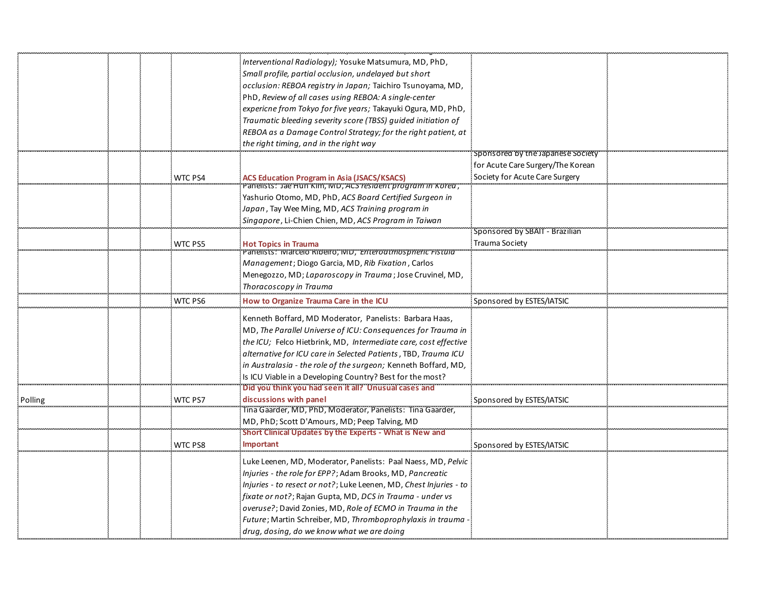|         |                | Interventional Radiology); Yosuke Matsumura, MD, PhD,                                           |                                   |  |
|---------|----------------|-------------------------------------------------------------------------------------------------|-----------------------------------|--|
|         |                | Small profile, partial occlusion, undelayed but short                                           |                                   |  |
|         |                | occlusion: REBOA registry in Japan; Taichiro Tsunoyama, MD,                                     |                                   |  |
|         |                | PhD, Review of all cases using REBOA: A single-center                                           |                                   |  |
|         |                | expericne from Tokyo for five years; Takayuki Ogura, MD, PhD,                                   |                                   |  |
|         |                | Traumatic bleeding severity score (TBSS) quided initiation of                                   |                                   |  |
|         |                | REBOA as a Damage Control Strategy; for the right patient, at                                   |                                   |  |
|         |                | the right timing, and in the right way                                                          |                                   |  |
|         |                |                                                                                                 | Sponsored by the Japanese Society |  |
|         |                |                                                                                                 | for Acute Care Surgery/The Korean |  |
|         | <b>WTC PS4</b> | <b>ACS Education Program in Asia (JSACS/KSACS)</b>                                              | Society for Acute Care Surgery    |  |
|         |                | , Panelists: Jae Hun Kim, MD, ACS resident program in Korea                                     |                                   |  |
|         |                | Yashurio Otomo, MD, PhD, ACS Board Certified Surgeon in                                         |                                   |  |
|         |                | Japan, Tay Wee Ming, MD, ACS Training program in                                                |                                   |  |
|         |                | Singapore, Li-Chien Chien, MD, ACS Program in Taiwan                                            |                                   |  |
|         |                |                                                                                                 | Sponsored by SBAIT - Brazilian    |  |
|         | <b>WTC PS5</b> | <b>Hot Topics in Trauma</b><br>Panelists: Marcelo Ribeiro, MD, <i>Enteroatmospheric Fistula</i> | <b>Trauma Society</b>             |  |
|         |                | Management; Diogo Garcia, MD, Rib Fixation, Carlos                                              |                                   |  |
|         |                | Menegozzo, MD; Laparoscopy in Trauma; Jose Cruvinel, MD,                                        |                                   |  |
|         |                | Thoracoscopy in Trauma                                                                          |                                   |  |
|         |                |                                                                                                 |                                   |  |
|         | WTC PS6        | How to Organize Trauma Care in the ICL                                                          | Sponsored by ESTES/IATSIC         |  |
|         |                | Kenneth Boffard, MD Moderator, Panelists: Barbara Haas,                                         |                                   |  |
|         |                | MD, The Parallel Universe of ICU: Consequences for Trauma in                                    |                                   |  |
|         |                | the ICU; Felco Hietbrink, MD, Intermediate care, cost effective                                 |                                   |  |
|         |                | alternative for ICU care in Selected Patients, TBD, Trauma ICU                                  |                                   |  |
|         |                | in Australasia - the role of the surgeon; Kenneth Boffard, MD,                                  |                                   |  |
|         |                | Is ICU Viable in a Developing Country? Best for the most?                                       |                                   |  |
|         |                | Did you think you had seen it all? Unusual cases and                                            |                                   |  |
| Polling | WTC PS7        | discussions with panel                                                                          | Sponsored by ESTES/IATSIC         |  |
|         |                | Tina Gaarder, MD, PhD, Moderator, Panelists: Tina Gaarder,                                      |                                   |  |
|         |                | MD, PhD; Scott D'Amours, MD; Peep Talving, MD                                                   |                                   |  |
|         |                | Short Clinical Updates by the Experts - What is New and                                         |                                   |  |
|         | WTC PS8        | <b>Important</b>                                                                                | Sponsored by ESTES/IATSIC         |  |
|         |                | Luke Leenen, MD, Moderator, Panelists: Paal Naess, MD, <i>Pelvic</i>                            |                                   |  |
|         |                | Injuries - the role for EPP?; Adam Brooks, MD, Pancreatic                                       |                                   |  |
|         |                | Injuries - to resect or not?; Luke Leenen, MD, Chest Injuries - to                              |                                   |  |
|         |                | fixate or not?; Rajan Gupta, MD, DCS in Trauma - under vs                                       |                                   |  |
|         |                | overuse?; David Zonies, MD, Role of ECMO in Trauma in the                                       |                                   |  |
|         |                | Future; Martin Schreiber, MD, Thromboprophylaxis in trauma                                      |                                   |  |
|         |                | drug, dosing, do we know what we are doing                                                      |                                   |  |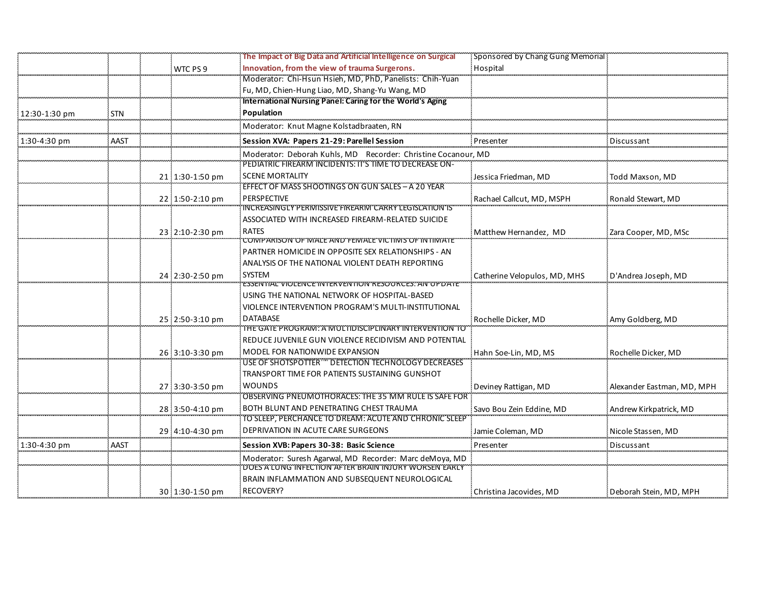|               |            |                 | The Impact of Big Data and Artificial Intelligence on Surgical    | Sponsored by Chang Gung Memorial |                            |
|---------------|------------|-----------------|-------------------------------------------------------------------|----------------------------------|----------------------------|
|               |            | WTC PS 9        | Innovation, from the view of trauma Surgerons.                    | Hospital                         |                            |
|               |            |                 | Moderator: Chi-Hsun Hsieh, MD, PhD, Panelists: Chih-Yuan          |                                  |                            |
|               |            |                 | Fu, MD, Chien-Hung Liao, MD, Shang-Yu Wang, MD                    |                                  |                            |
|               |            |                 | International Nursing Panel: Caring for the World's Aging         |                                  |                            |
| 12:30-1:30 pm | <b>STN</b> |                 | Population                                                        |                                  |                            |
|               |            |                 | Moderator: Knut Magne Kolstadbraaten, RN                          |                                  |                            |
| 1:30-4:30 pm  | AAST       |                 | Session XVA: Papers 21-29: Parellel Session                       | Presentei                        | Discussant                 |
|               |            |                 | Moderator: Deborah Kuhls, MD Recorder: Christine Cocanour, MD     |                                  |                            |
|               |            |                 | PEDIATRIC FIREARM INCIDENTS: IT'S TIME TO DECREASE ON-            |                                  |                            |
|               |            | 21 1:30-1:50 pm | <b>SCENE MORTALITY</b>                                            | Jessica Friedman, MD             | Todd Maxson, MD            |
|               |            |                 | EFFECT OF MASS SHOOTINGS ON GUN SALES - A 20 YEAR                 |                                  |                            |
|               |            | 22 1:50-2:10 pm | <b>PERSPECTIVE</b>                                                | Rachael Callcut, MD, MSPH        | Ronald Stewart, MD         |
|               |            |                 | INCREASINGLY PERMISSIVE FIREARM CARRY LEGISLATION IS              |                                  |                            |
|               |            |                 | ASSOCIATED WITH INCREASED FIREARM-RELATED SUICIDE                 |                                  |                            |
|               |            | 23 2:10-2:30 pm | <b>RATES</b><br>COMPARISON OF MALE AND FEMALE VICTIMS OF INTIMATE | Matthew Hernandez, MD            | Zara Cooper, MD, MSc       |
|               |            |                 | PARTNER HOMICIDE IN OPPOSITE SEX RELATIONSHIPS - AN               |                                  |                            |
|               |            |                 | ANALYSIS OF THE NATIONAL VIOLENT DEATH REPORTING                  |                                  |                            |
|               |            | 24 2:30-2:50 pm | <b>SYSTEM</b>                                                     | Catherine Velopulos, MD, MHS     | D'Andrea Joseph, MD        |
|               |            |                 | ESSENTIAL VIOLENCE INTERVENTION RESOURCES. AN OPDATE              |                                  |                            |
|               |            |                 | USING THE NATIONAL NETWORK OF HOSPITAL-BASED                      |                                  |                            |
|               |            |                 | VIOLENCE INTERVENTION PROGRAM'S MULTI-INSTITUTIONAL               |                                  |                            |
|               |            | 25 2:50-3:10 pm | <b>DATABASE</b>                                                   | Rochelle Dicker, MD              | Amy Goldberg, MD           |
|               |            |                 | THE GATE PROGRAM. A MOLTIDISCIPLINARY INTERVENTION TO             |                                  |                            |
|               |            |                 | REDUCE JUVENILE GUN VIOLENCE RECIDIVISM AND POTENTIAL             |                                  |                            |
|               |            | 26:3:10-3:30 pm | MODEL FOR NATIONWIDE EXPANSION                                    | Hahn Soe-Lin, MD, MS             | Rochelle Dicker, MD        |
|               |            |                 | USE OF SHOTSPOTTER <sup>166</sup> DETECTION TECHNOLOGY DECREASES  |                                  |                            |
|               |            |                 | TRANSPORT TIME FOR PATIENTS SUSTAINING GUNSHOT                    |                                  |                            |
|               |            | 27 3:30-3:50 pm | <b>WOUNDS</b>                                                     | Deviney Rattigan, MD             | Alexander Eastman, MD, MPH |
|               |            |                 | OBSERVING PNEUMOTHORACES: THE 35 MM RULE IS SAFE FOR              |                                  |                            |
|               |            | 28 3:50-4:10 pm | BOTH BLUNT AND PENETRATING CHEST TRAUMA                           | Savo Bou Zein Eddine, MD         | Andrew Kirkpatrick, MD     |
|               |            |                 | TO SLEEP, PERCHANCE TO DREAM: ACUTE AND CHRONIC SLEEP             |                                  |                            |
|               |            | 29 4:10-4:30 pm | <b>DEPRIVATION IN ACUTE CARE SURGEONS</b>                         | Jamie Coleman, MD                | Nicole Stassen, MD         |
| 1:30-4:30 pm  | AAST       |                 | Session XVB: Papers 30-38: Basic Science                          | Presenter                        | Discussant                 |
|               |            |                 | Moderator: Suresh Agarwal, MD Recorder: Marc deMoya, MD           |                                  |                            |
|               |            |                 | DOES A LUNG INFECTION AFTER BRAIN INJURY WORSEN EARLY             |                                  |                            |
|               |            |                 | BRAIN INFLAMMATION AND SUBSEQUENT NEUROLOGICAL                    |                                  |                            |
|               |            | 30 1:30-1:50 pm | RECOVERY?                                                         | Christina Jacovides, MD          | Deborah Stein, MD, MPH     |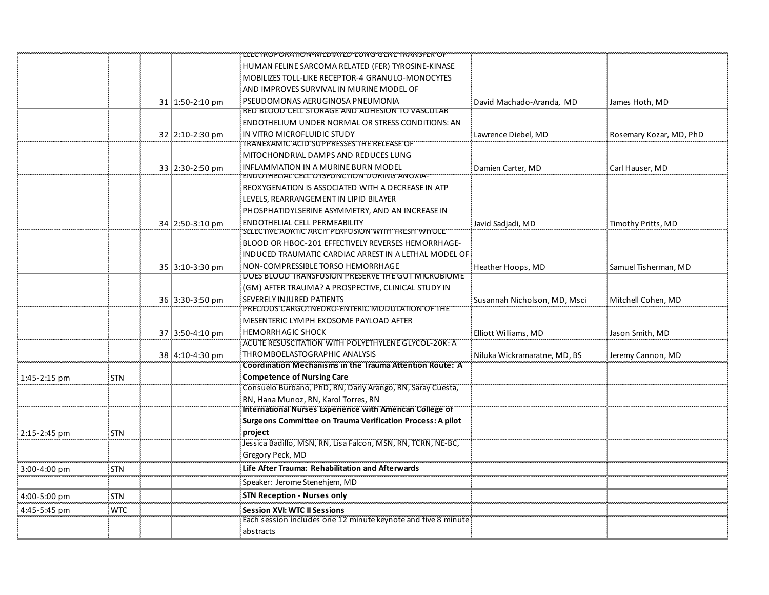|              |            |                 | ELECTROPORATION-MEDIATED LUNG GENE TRANSFER OF                                     |                              |                         |
|--------------|------------|-----------------|------------------------------------------------------------------------------------|------------------------------|-------------------------|
|              |            |                 | HUMAN FELINE SARCOMA RELATED (FER) TYROSINE-KINASE                                 |                              |                         |
|              |            |                 | MOBILIZES TOLL-LIKE RECEPTOR-4 GRANULO-MONOCYTES                                   |                              |                         |
|              |            |                 | AND IMPROVES SURVIVAL IN MURINE MODEL OF                                           |                              |                         |
|              |            | 31 1:50-2:10 pm | PSEUDOMONAS AERUGINOSA PNEUMONIA                                                   | David Machado-Aranda, MD     | James Hoth, MD          |
|              |            |                 | <b>RED BLOOD CELL STORAGE AND ADHESION TO VASCULAR</b>                             |                              |                         |
|              |            |                 | ENDOTHELIUM UNDER NORMAL OR STRESS CONDITIONS: AN                                  |                              |                         |
|              |            | 32 2:10-2:30 pm | IN VITRO MICROFLUIDIC STUDY                                                        | Lawrence Diebel, MD          | Rosemary Kozar, MD, PhD |
|              |            |                 | TRANEXAMIC ACID SUPPRESSES THE RELEASE OF                                          |                              |                         |
|              |            |                 | MITOCHONDRIAL DAMPS AND REDUCES LUNG                                               |                              |                         |
|              |            | 33 2:30-2:50 pm | INFLAMMATION IN A MURINE BURN MODEL<br>ENDOTHELIAL CELL DYSFONCTION DURING ANOXIA- | Damien Carter, MD            | Carl Hauser, MD         |
|              |            |                 | REOXYGENATION IS ASSOCIATED WITH A DECREASE IN ATP                                 |                              |                         |
|              |            |                 | LEVELS, REARRANGEMENT IN LIPID BILAYER                                             |                              |                         |
|              |            |                 | PHOSPHATIDYLSERINE ASYMMETRY, AND AN INCREASE IN                                   |                              |                         |
|              |            | 34 2:50-3:10 pm | <b>ENDOTHELIAL CELL PERMEABILITY</b>                                               | Javid Sadjadi, MD            | Timothy Pritts, MD      |
|              |            |                 | SELECTIVE AORTIC ARCH PERFUSION WITH FRESH WHOLE                                   |                              |                         |
|              |            |                 | BLOOD OR HBOC-201 EFFECTIVELY REVERSES HEMORRHAGE-                                 |                              |                         |
|              |            |                 | INDUCED TRAUMATIC CARDIAC ARREST IN A LETHAL MODEL OF                              |                              |                         |
|              |            | 35 3:10-3:30 pm | NON-COMPRESSIBLE TORSO HEMORRHAGE                                                  | Heather Hoops, MD            | Samuel Tisherman, MD    |
|              |            |                 | DOES BLOOD TRANSFUSION PRESERVE THE GUT MICROBIOME                                 |                              |                         |
|              |            |                 | (GM) AFTER TRAUMA? A PROSPECTIVE, CLINICAL STUDY IN                                |                              |                         |
|              |            | 36 3:30-3:50 pm | SEVERELY INJURED PATIENTS<br>PRECIOUS CARGO: NEURO-ENTERIC MODULATION OF THE       | Susannah Nicholson, MD, Msci | Mitchell Cohen, MD      |
|              |            |                 | MESENTERIC LYMPH EXOSOME PAYLOAD AFTER                                             |                              |                         |
|              |            | 37 3:50-4:10 pm | <b>HEMORRHAGIC SHOCK</b>                                                           | Elliott Williams, MD         | Jason Smith, MD         |
|              |            |                 | ACUTE RESUSCITATION WITH POLYETHYLENE GLYCOL-20K: A                                |                              |                         |
|              |            | 38 4:10-4:30 pm | THROMBOELASTOGRAPHIC ANALYSIS                                                      | Niluka Wickramaratne, MD, BS | Jeremy Cannon, MD       |
|              |            |                 | Coordination Mechanisms in the Trauma Attention Route: A                           |                              |                         |
| 1:45-2:15 pm | <b>STN</b> |                 | <b>Competence of Nursing Care</b>                                                  |                              |                         |
|              |            |                 | Consuelo Burbano, PhD, RN, Darly Arango, RN, Saray Cuesta,                         |                              |                         |
|              |            |                 | RN, Hana Munoz, RN, Karol Torres, RN                                               |                              |                         |
|              |            |                 | International Nurses Experience with American College of                           |                              |                         |
|              |            |                 | Surgeons Committee on Trauma Verification Process: A pilot                         |                              |                         |
| 2:15-2:45 pm | <b>STN</b> |                 | project                                                                            |                              |                         |
|              |            |                 | Jessica Badillo, MSN, RN, Lisa Falcon, MSN, RN, TCRN, NE-BC,                       |                              |                         |
|              |            |                 | Gregory Peck, MD                                                                   |                              |                         |
| 3:00-4:00 pm | <b>STN</b> |                 | Life After Trauma: Rehabilitation and Afterwards                                   |                              |                         |
|              |            |                 | Speaker: Jerome Stenehjem, MD                                                      |                              |                         |
| 4:00-5:00 pm | <b>STN</b> |                 | <b>STN Reception - Nurses only</b>                                                 |                              |                         |
| 4:45-5:45 pm | <b>WTC</b> |                 | <b>Session XVI: WTC II Sessions</b>                                                |                              |                         |
|              |            |                 | Each session includes one 12 minute keynote and five 8 minute<br>abstracts         |                              |                         |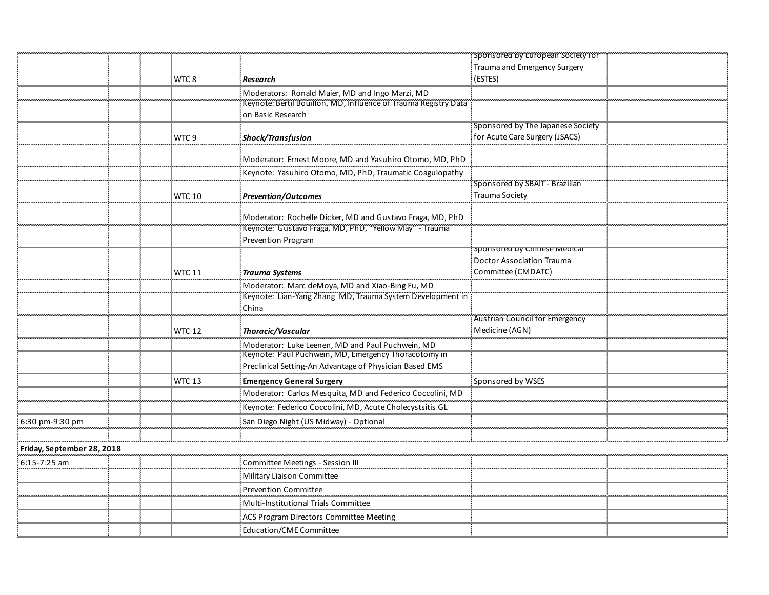|                            |                  |                                                                                                                     | Sponsored by European Society for |  |
|----------------------------|------------------|---------------------------------------------------------------------------------------------------------------------|-----------------------------------|--|
|                            |                  |                                                                                                                     | Trauma and Emergency Surgery      |  |
|                            | WTC <sub>8</sub> | Research                                                                                                            | (ESTES)                           |  |
|                            |                  | Moderators: Ronald Maier, MD and Ingo Marzi, MD                                                                     |                                   |  |
|                            |                  | Keynote: Bertil Bouillon, MD, Influence of Trauma Registry Data                                                     |                                   |  |
|                            |                  | on Basic Research                                                                                                   |                                   |  |
|                            |                  |                                                                                                                     | Sponsored by The Japanese Society |  |
|                            | WTC 9            | <b>Shock/Transfusion</b>                                                                                            | for Acute Care Surgery (JSACS)    |  |
|                            |                  | Moderator: Ernest Moore, MD and Yasuhiro Otomo, MD, PhD                                                             |                                   |  |
|                            |                  | Keynote: Yasuhiro Otomo, MD, PhD, Traumatic Coagulopathy                                                            |                                   |  |
|                            |                  |                                                                                                                     | Sponsored by SBAIT - Brazilian    |  |
|                            | <b>WTC 10</b>    | <b>Prevention/Outcomes</b>                                                                                          | Trauma Society                    |  |
|                            |                  | Moderator: Rochelle Dicker, MD and Gustavo Fraga, MD, PhD<br>Keynote: Gustavo Fraga, MD, PhD, "Yellow May" - Trauma |                                   |  |
|                            |                  | <b>Prevention Program</b>                                                                                           |                                   |  |
|                            |                  |                                                                                                                     | sponsored by Chinese Medical      |  |
|                            |                  |                                                                                                                     | <b>Doctor Association Trauma</b>  |  |
|                            | <b>WTC 11</b>    | <b>Trauma Systems</b>                                                                                               | Committee (CMDATC)                |  |
|                            |                  | Moderator: Marc deMoya, MD and Xiao-Bing Fu, MD                                                                     |                                   |  |
|                            |                  | Keynote: Lian-Yang Zhang MD, Trauma System Development in                                                           |                                   |  |
|                            |                  | China                                                                                                               |                                   |  |
|                            |                  |                                                                                                                     | Austrian Council for Emergency    |  |
|                            | <b>WTC 12</b>    | Thoracic/Vascular                                                                                                   | Medicine (AGN)                    |  |
|                            |                  | Moderator: Luke Leenen, MD and Paul Puchwein, MD                                                                    |                                   |  |
|                            |                  | Keynote: Paul Puchwein, MD, Emergency Thoracotomy in                                                                |                                   |  |
|                            |                  | Preclinical Setting-An Advantage of Physician Based EMS                                                             |                                   |  |
|                            | WTC 13           | Emergency General Surgery                                                                                           | Sponsored by WSES                 |  |
|                            |                  | Moderator: Carlos Mesquita, MD and Federico Coccolini, MD                                                           |                                   |  |
|                            |                  | Keynote: Federico Coccolini, MD, Acute Cholecystsitis GL                                                            |                                   |  |
| 6:30 pm-9:30 pm            |                  | San Diego Night (US Midway) - Optional                                                                              |                                   |  |
|                            |                  |                                                                                                                     |                                   |  |
| Friday, September 28, 2018 |                  |                                                                                                                     |                                   |  |
| $6:15 - 7:25$ am           |                  | Committee Meetings - Session III                                                                                    |                                   |  |
|                            |                  | Military Liaison Committee                                                                                          |                                   |  |
|                            |                  | <b>Prevention Committee</b>                                                                                         |                                   |  |
|                            |                  | Multi-Institutional Trials Committee                                                                                |                                   |  |
|                            |                  | ACS Program Directors Committee Meeting                                                                             |                                   |  |
|                            |                  | Education/CME Committee                                                                                             |                                   |  |
|                            |                  |                                                                                                                     |                                   |  |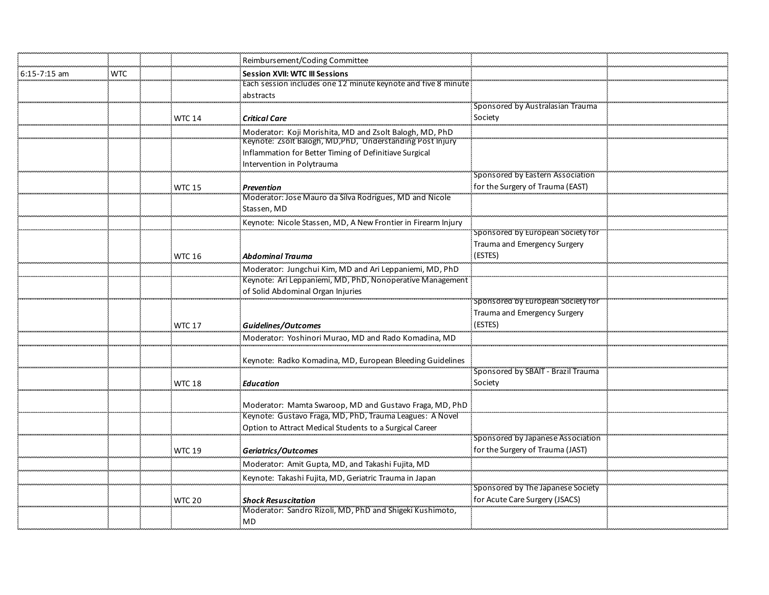|                  |            |               | Reimbursement/Coding Committee                                                                                       |                                    |  |
|------------------|------------|---------------|----------------------------------------------------------------------------------------------------------------------|------------------------------------|--|
| $6:15 - 7:15$ am | <b>WTC</b> |               | <b>Session XVII: WTC III Sessions</b>                                                                                |                                    |  |
|                  |            |               | Each session includes one 12 minute keynote and five 8 minute                                                        |                                    |  |
|                  |            |               | abstracts                                                                                                            |                                    |  |
|                  |            |               |                                                                                                                      | Sponsored by Australasian Trauma   |  |
|                  |            | <b>WTC 14</b> | <b>Critical Care</b>                                                                                                 | Society                            |  |
|                  |            |               | Moderator: Koji Morishita, MD and Zsolt Balogh, MD, PhD                                                              |                                    |  |
|                  |            |               | Keynote: Zsolt Balogh, MD, PhD, Understanding Post Injury                                                            |                                    |  |
|                  |            |               | Inflammation for Better Timing of Definitiave Surgical                                                               |                                    |  |
|                  |            |               | Intervention in Polytrauma                                                                                           |                                    |  |
|                  |            |               |                                                                                                                      | Sponsored by Eastern Association   |  |
|                  |            | <b>WTC 15</b> | <b>Prevention</b>                                                                                                    | for the Surgery of Trauma (EAST)   |  |
|                  |            |               | Moderator: Jose Mauro da Silva Rodrigues, MD and Nicole                                                              |                                    |  |
|                  |            |               | Stassen, MD                                                                                                          |                                    |  |
|                  |            |               | Keynote: Nicole Stassen, MD, A New Frontier in Firearm Injury                                                        | Sponsored by European Society for  |  |
|                  |            |               |                                                                                                                      | Trauma and Emergency Surgery       |  |
|                  |            | <b>WTC 16</b> | <b>Abdominal Trauma</b>                                                                                              | (ESTES)                            |  |
|                  |            |               |                                                                                                                      |                                    |  |
|                  |            |               | Moderator: Jungchui Kim, MD and Ari Leppaniemi, MD, PhD<br>Keynote: Ari Leppaniemi, MD, PhD, Nonoperative Management |                                    |  |
|                  |            |               | of Solid Abdominal Organ Injuries                                                                                    |                                    |  |
|                  |            |               |                                                                                                                      | Sponsored by European Society for  |  |
|                  |            |               |                                                                                                                      | Trauma and Emergency Surgery       |  |
|                  |            | <b>WTC 17</b> | <b>Guidelines/Outcomes</b>                                                                                           | (ESTES)                            |  |
|                  |            |               | Moderator: Yoshinori Murao, MD and Rado Komadina, MD                                                                 |                                    |  |
|                  |            |               |                                                                                                                      |                                    |  |
|                  |            |               | Keynote: Radko Komadina, MD, European Bleeding Guidelines                                                            |                                    |  |
|                  |            |               |                                                                                                                      | Sponsored by SBAIT - Brazil Trauma |  |
|                  |            | <b>WTC 18</b> | <b>Education</b>                                                                                                     | Society                            |  |
|                  |            |               |                                                                                                                      |                                    |  |
|                  |            |               | Moderator: Mamta Swaroop, MD and Gustavo Fraga, MD, PhD                                                              |                                    |  |
|                  |            |               | Keynote: Gustavo Fraga, MD, PhD, Trauma Leagues: A Novel                                                             |                                    |  |
|                  |            |               | Option to Attract Medical Students to a Surgical Career                                                              |                                    |  |
|                  |            |               |                                                                                                                      | Sponsored by Japanese Association  |  |
|                  |            | <b>WTC 19</b> | Geriatrics/Outcomes                                                                                                  | for the Surgery of Trauma (JAST)   |  |
|                  |            |               | Moderator: Amit Gupta, MD, and Takashi Fujita, MD                                                                    |                                    |  |
|                  |            |               | Keynote: Takashi Fujita, MD, Geriatric Trauma in Japan                                                               |                                    |  |
|                  |            |               |                                                                                                                      | Sponsored by The Japanese Society  |  |
|                  |            | <b>WTC 20</b> | <b>Shock Resuscitation</b>                                                                                           | for Acute Care Surgery (JSACS)     |  |
|                  |            |               | Moderator: Sandro Rizoli, MD, PhD and Shigeki Kushimoto,                                                             |                                    |  |
|                  |            |               | MD                                                                                                                   |                                    |  |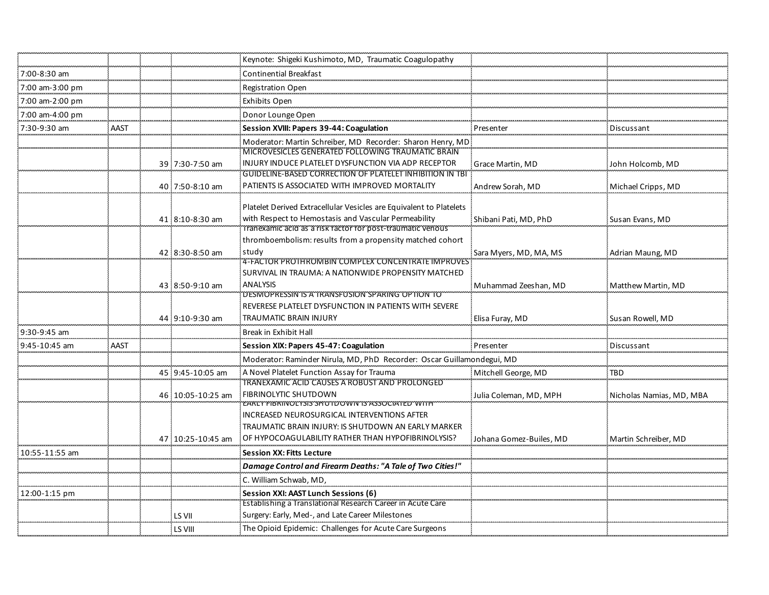|                 |      |                   | Keynote: Shigeki Kushimoto, MD, Traumatic Coagulopathy                                                          |                         |                          |
|-----------------|------|-------------------|-----------------------------------------------------------------------------------------------------------------|-------------------------|--------------------------|
| 7:00-8:30 am    |      |                   | <b>Continential Breakfast</b>                                                                                   |                         |                          |
| 7:00 am-3:00 pm |      |                   | <b>Registration Open</b>                                                                                        |                         |                          |
| 7:00 am-2:00 pm |      |                   | Exhibits Open                                                                                                   |                         |                          |
| 7:00 am-4:00 pm |      |                   | Donor Lounge Open                                                                                               |                         |                          |
| 7:30-9:30 am    | AAST |                   | Session XVIII: Papers 39-44: Coagulation                                                                        | Presenter               | Discussant               |
|                 |      |                   | Moderator: Martin Schreiber, MD Recorder: Sharon Henry, MD                                                      |                         |                          |
|                 |      |                   | MICROVESICLES GENERATED FOLLOWING TRAUMATIC BRAIN                                                               |                         |                          |
|                 |      | 39 7:30-7:50 am   | INJURY INDUCE PLATELET DYSFUNCTION VIA ADP RECEPTOR<br>GUIDELINE-BASED CORRECTION OF PLATELET INHIBITION IN TBI | Grace Martin, MD        | John Holcomb, MD         |
|                 |      | 40 7:50-8:10 am   | PATIENTS IS ASSOCIATED WITH IMPROVED MORTALITY                                                                  | Andrew Sorah, MD        | Michael Cripps, MD       |
|                 |      |                   |                                                                                                                 |                         |                          |
|                 |      |                   | Platelet Derived Extracellular Vesicles are Equivalent to Platelets                                             |                         |                          |
|                 |      | 41 8:10-8:30 am   | with Respect to Hemostasis and Vascular Permeability                                                            | Shibani Pati, MD, PhD   | Susan Evans, MD          |
|                 |      |                   | Tranexamic acid as a risk factor for post-traumatic venous                                                      |                         |                          |
|                 |      | 42 8:30-8:50 am   | thromboembolism: results from a propensity matched cohort<br>study                                              |                         |                          |
|                 |      |                   | 4-FACTOR PROTHROMBIN COMPLEX CONCENTRATE IMPROVES                                                               | Sara Myers, MD, MA, MS  | Adrian Maung, MD         |
|                 |      |                   | SURVIVAL IN TRAUMA: A NATIONWIDE PROPENSITY MATCHED                                                             |                         |                          |
|                 |      | 43 8:50-9:10 am   | <b>ANALYSIS</b>                                                                                                 | Muhammad Zeeshan, MD    | Matthew Martin, MD       |
|                 |      |                   | "DESMOPRESSIN'IS"A TRANSFUSION SPARING 'OPTION'TO                                                               |                         |                          |
|                 |      |                   | REVERESE PLATELET DYSFUNCTION IN PATIENTS WITH SEVERE<br><b>TRAUMATIC BRAIN INJURY</b>                          |                         |                          |
|                 |      | 44 9:10-9:30 am   |                                                                                                                 | Elisa Furay, MD         | Susan Rowell, MD         |
| 9:30-9:45 am    |      |                   | Break in Exhibit Hall                                                                                           |                         |                          |
| 9:45-10:45 am   | AAST |                   | Session XIX: Papers 45-47: Coagulation                                                                          | Presenter               | Discussant               |
|                 |      |                   | Moderator: Raminder Nirula, MD, PhD Recorder: Oscar Guillamondegui, MD                                          |                         |                          |
|                 |      | 45 9:45-10:05 am  | A Novel Platelet Function Assay for Trauma<br>TRANEXAMIC ACID CAUSES A ROBUST AND PROLONGED                     | Mitchell George, MD     | TBD                      |
|                 |      | 46:10:05-10:25 am | FIBRINOLYTIC SHUTDOWN                                                                                           | Julia Coleman, MD, MPH  | Nicholas Namias, MD, MBA |
|                 |      |                   | EARLY FIBRINOLYSIS SHUTDOWN IS ASSOCIATED WITH                                                                  |                         |                          |
|                 |      |                   | INCREASED NEUROSURGICAL INTERVENTIONS AFTER                                                                     |                         |                          |
|                 |      |                   | TRAUMATIC BRAIN INJURY: IS SHUTDOWN AN EARLY MARKER                                                             |                         |                          |
|                 |      | 47 10:25-10:45 am | OF HYPOCOAGULABILITY RATHER THAN HYPOFIBRINOLYSIS?                                                              | Johana Gomez-Builes, MD | Martin Schreiber. MD     |
| 10:55-11:55 am  |      |                   | <b>Session XX: Fitts Lecture</b>                                                                                |                         |                          |
|                 |      |                   | Damage Control and Firearm Deaths: "A Tale of Two Cities!"                                                      |                         |                          |
|                 |      |                   | C. William Schwab, MD,                                                                                          |                         |                          |
| 12:00-1:15 pm   |      |                   | Session XXI: AAST Lunch Sessions (6)                                                                            |                         |                          |
|                 |      |                   | Establishing a Translational Research Career in Acute Care                                                      |                         |                          |
|                 |      | LS VII            | Surgery: Early, Med-, and Late Career Milestones                                                                |                         |                          |
|                 |      | LS VIII           | The Opioid Epidemic: Challenges for Acute Care Surgeons                                                         |                         |                          |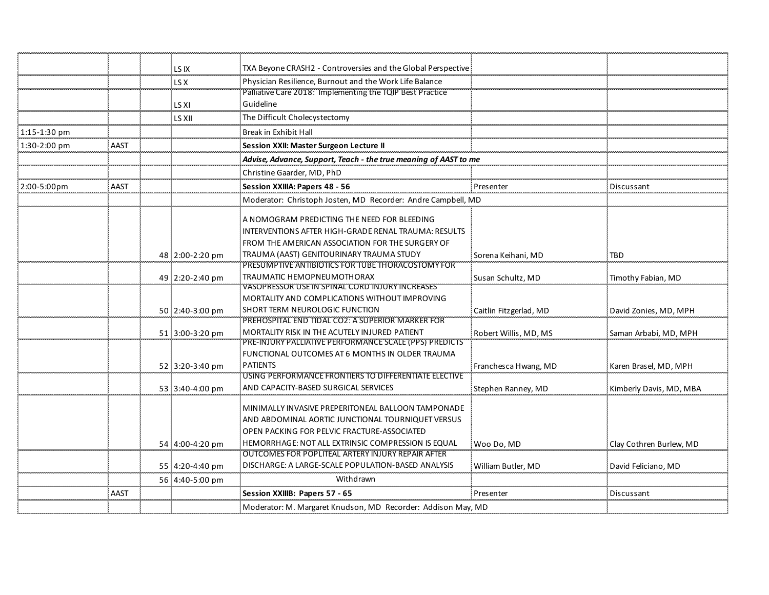|                  |      | LS IX           | TXA Beyone CRASH2 - Controversies and the Global Perspective                                  |                        |                         |
|------------------|------|-----------------|-----------------------------------------------------------------------------------------------|------------------------|-------------------------|
|                  |      | LS X            | Physician Resilience, Burnout and the Work Life Balance                                       |                        |                         |
|                  |      |                 | Palliative Care 2018: Implementing the TOIP Best Practice                                     |                        |                         |
|                  |      | LS XI           | Guideline                                                                                     |                        |                         |
|                  |      | ls XII          | The Difficult Cholecystectomy                                                                 |                        |                         |
| $1:15 - 1:30$ pm |      |                 | Break in Exhibit Hall                                                                         |                        |                         |
| 1:30-2:00 pm     | AAST |                 | Session XXII: Master Surgeon Lecture II                                                       |                        |                         |
|                  |      |                 | Advise, Advance, Support, Teach - the true meaning of AAST to me                              |                        |                         |
|                  |      |                 | Christine Gaarder, MD, PhD                                                                    |                        |                         |
| 2:00-5:00pm      | AAST |                 | Session XXIIIA: Papers 48 - 56                                                                | Presenter              | Discussant              |
|                  |      |                 | Moderator: Christoph Josten, MD Recorder: Andre Campbell, MD                                  |                        |                         |
|                  |      |                 | A NOMOGRAM PREDICTING THE NEED FOR BLEEDING                                                   |                        |                         |
|                  |      |                 | INTERVENTIONS AFTER HIGH-GRADE RENAL TRAUMA: RESULTS                                          |                        |                         |
|                  |      |                 |                                                                                               |                        |                         |
|                  |      |                 | FROM THE AMERICAN ASSOCIATION FOR THE SURGERY OF                                              |                        |                         |
|                  |      | 48 2:00-2:20 pm | TRAUMA (AAST) GENITOURINARY TRAUMA STUDY<br>PRESUMPTIVE ANTIBIOTICS FOR TUBE THORACOSTOMY FOR | Sorena Keihani, MD     | TBD                     |
|                  |      |                 | TRAUMATIC HEMOPNEUMOTHORAX                                                                    |                        |                         |
|                  |      | 49 2:20-2:40 pm | VASOPRESSOR USE IN SPINAL CORD INJURY INCREASES                                               | Susan Schultz, MD      | Timothy Fabian, MD      |
|                  |      |                 | MORTALITY AND COMPLICATIONS WITHOUT IMPROVING                                                 |                        |                         |
|                  |      | 50 2:40-3:00 pm | SHORT TERM NEUROLOGIC FUNCTION                                                                | Caitlin Fitzgerlad, MD | David Zonies, MD, MPH   |
|                  |      |                 | PREHOSPITAL END TIDAL CO2: A SUPERIOR MARKER FOR                                              |                        |                         |
|                  |      | 51 3:00-3:20 pm | MORTALITY RISK IN THE ACUTELY INJURED PATIENT                                                 | Robert Willis, MD, MS  | Saman Arbabi, MD, MPH   |
|                  |      |                 | PRE-INJURY PALLIATIVE PERFORMANCE SCALE (PPS) PREDICTS                                        |                        |                         |
|                  |      |                 | FUNCTIONAL OUTCOMES AT 6 MONTHS IN OLDER TRAUMA                                               |                        |                         |
|                  |      | 52 3:20-3:40 pm | <b>PATIENTS</b>                                                                               | Franchesca Hwang, MD   | Karen Brasel, MD, MPH   |
|                  |      |                 | USING PERFORMANCE FRONTIERS TO DIFFERENTIATE ELECTIVE                                         |                        |                         |
|                  |      | 53 3:40-4:00 pm | AND CAPACITY-BASED SURGICAL SERVICES                                                          | Stephen Ranney, MD     | Kimberly Davis, MD, MBA |
|                  |      |                 | MINIMALLY INVASIVE PREPERITONEAL BALLOON TAMPONADE                                            |                        |                         |
|                  |      |                 | AND ABDOMINAL AORTIC JUNCTIONAL TOURNIQUET VERSUS                                             |                        |                         |
|                  |      |                 | OPEN PACKING FOR PELVIC FRACTURE-ASSOCIATED                                                   |                        |                         |
|                  |      | 54 4:00-4:20 pm | HEMORRHAGE: NOT ALL EXTRINSIC COMPRESSION IS EQUAL                                            | Woo Do. MD             | Clay Cothren Burlew, MD |
|                  |      |                 | OUTCOMES FOR POPLITEAL ARTERY INJURY REPAIR AFTER                                             |                        |                         |
|                  |      | 55 4:20-4:40 pm | DISCHARGE: A LARGE-SCALE POPULATION-BASED ANALYSIS                                            | William Butler, MD     | David Feliciano, MD     |
|                  |      | 56 4:40-5:00 pm | Withdrawn                                                                                     |                        |                         |
|                  | AAST |                 | Session XXIIIB: Papers 57 - 65                                                                | Presenter              | Discussant              |
|                  |      |                 | Moderator: M. Margaret Knudson, MD Recorder: Addison May, MD                                  |                        |                         |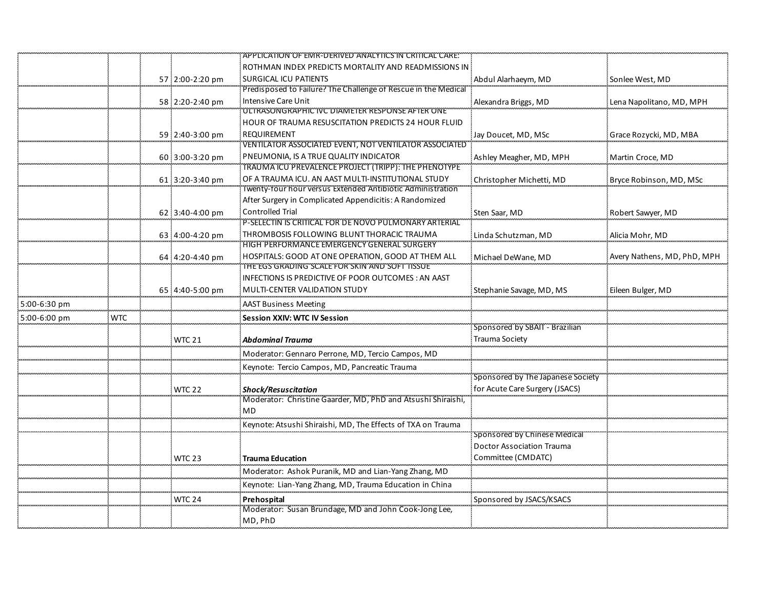|              |            |                 | APPLICATION OF EMR-DERIVED ANALYTICS IN CRITICAL CARE.                           |                                   |                             |
|--------------|------------|-----------------|----------------------------------------------------------------------------------|-----------------------------------|-----------------------------|
|              |            |                 | ROTHMAN INDEX PREDICTS MORTALITY AND READMISSIONS IN                             |                                   |                             |
|              |            | 57 2:00-2:20 pm | <b>SURGICAL ICU PATIENTS</b>                                                     | Abdul Alarhaeym, MD               | Sonlee West, MD             |
|              |            |                 | Predisposed to Failure? The Challenge of Rescue in the Medical                   |                                   |                             |
|              |            | 58 2:20-2:40 pm | <b>Intensive Care Unit</b>                                                       | Alexandra Briggs, MD              | Lena Napolitano, MD, MPH    |
|              |            |                 | ULTRASONGRAPHIC IVC DIAMETER RESPONSE AFTER ONE                                  |                                   |                             |
|              |            |                 | HOUR OF TRAUMA RESUSCITATION PREDICTS 24 HOUR FLUID                              |                                   |                             |
|              |            | 59 2:40-3:00 pm | <b>REQUIREMENT</b>                                                               | Jay Doucet, MD, MSc               | Grace Rozycki, MD, MBA      |
|              |            |                 | VENTILATOR ASSOCIATED EVENT, NOT VENTILATOR ASSOCIATED                           |                                   |                             |
|              |            | 60 3:00-3:20 pm | PNEUMONIA, IS A TRUE QUALITY INDICATOR                                           | Ashley Meagher, MD, MPH           | Martin Croce, MD            |
|              |            |                 | TRAUMA ICU PREVALENCE PROJECT (TRIPP): THE PHENOTYPE                             |                                   |                             |
|              |            | 61 3:20-3:40 pm | OF A TRAUMA ICU. AN AAST MULTI-INSTITUTIONAL STUDY                               | Christopher Michetti, MD          | Bryce Robinson, MD, MSc     |
|              |            |                 | Twenty-four hour versus Extended Antibiotic Administration                       |                                   |                             |
|              |            |                 | After Surgery in Complicated Appendicitis: A Randomized                          |                                   |                             |
|              |            | 62 3:40-4:00 pm | <b>Controlled Trial</b><br>P-SELECTIN IS CRITICAL FOR DE NOVO PULMONARY ARTERIAL | Sten Saar, MD                     | Robert Sawyer, MD           |
|              |            |                 | THROMBOSIS FOLLOWING BLUNT THORACIC TRAUMA                                       |                                   |                             |
|              |            | 63 4:00-4:20 pm | HIGH PERFORMANCE EMERGENCY GENERAL SURGERY                                       | Linda Schutzman, MD               | Alicia Mohr, MD             |
|              |            | 64 4:20-4:40 pm | HOSPITALS: GOOD AT ONE OPERATION, GOOD AT THEM ALL                               | Michael DeWane, MD                | Avery Nathens, MD, PhD, MPH |
|              |            |                 | THE EGS GRADING SCALE FOR SKIN AND SOFT TISSUE                                   |                                   |                             |
|              |            |                 | INFECTIONS IS PREDICTIVE OF POOR OUTCOMES: AN AAST                               |                                   |                             |
|              |            | 65:4:40-5:00 pm | MULTI-CENTER VALIDATION STUDY                                                    | Stephanie Savage, MD, MS          | Eileen Bulger, MD           |
| 5:00-6:30 pm |            |                 | <b>AAST Business Meeting</b>                                                     |                                   |                             |
| 5:00-6:00 pm | <b>WTC</b> |                 | <b>Session XXIV: WTC IV Session</b>                                              |                                   |                             |
|              |            |                 |                                                                                  | Sponsored by SBAIT - Brazilian    |                             |
|              |            | <b>WTC 21</b>   | <b>Abdominal Trauma</b>                                                          | Trauma Society                    |                             |
|              |            |                 | Moderator: Gennaro Perrone, MD, Tercio Campos, MD                                |                                   |                             |
|              |            |                 | Keynote: Tercio Campos, MD, Pancreatic Trauma                                    |                                   |                             |
|              |            |                 |                                                                                  | Sponsored by The Japanese Society |                             |
|              |            | WTC 22          | <b>Shock/Resuscitation</b>                                                       | for Acute Care Surgery (JSACS)    |                             |
|              |            |                 | Moderator: Christine Gaarder, MD, PhD and Atsushi Shiraishi,                     |                                   |                             |
|              |            |                 | <b>MD</b>                                                                        |                                   |                             |
|              |            |                 | Keynote: Atsushi Shiraishi, MD, The Effects of TXA on Trauma                     |                                   |                             |
|              |            |                 |                                                                                  | Sponsored by Chinese Medical      |                             |
|              |            |                 |                                                                                  | <b>Doctor Association Trauma</b>  |                             |
|              |            | <b>WTC 23</b>   | <b>Trauma Education</b>                                                          | Committee (CMDATC)                |                             |
|              |            |                 | Moderator: Ashok Puranik, MD and Lian-Yang Zhang, MD                             |                                   |                             |
|              |            |                 | Keynote: Lian-Yang Zhang, MD, Trauma Education in China                          |                                   |                             |
|              |            | WTC 24          | Prehospital                                                                      | Sponsored by JSACS/KSACS          |                             |
|              |            |                 | Moderator: Susan Brundage, MD and John Cook-Jong Lee,                            |                                   |                             |
|              |            |                 | MD, PhD                                                                          |                                   |                             |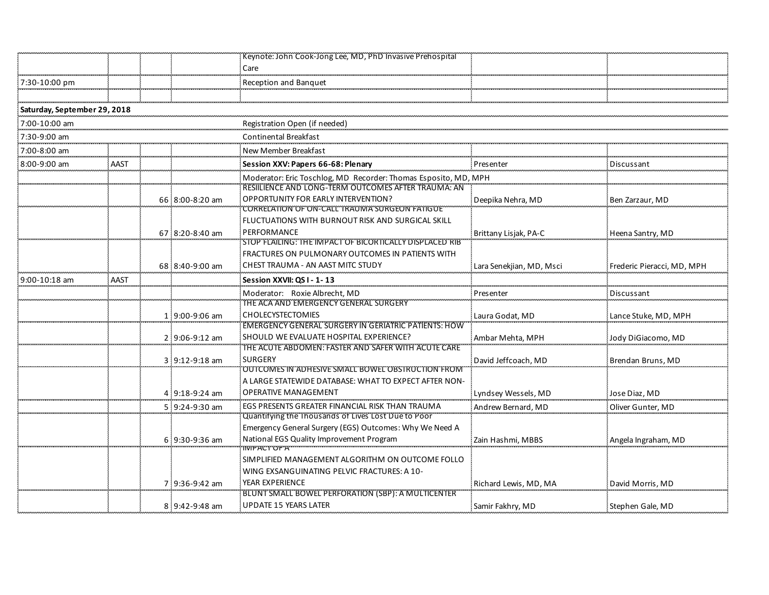|                              |      |                 | Keynote: John Cook-Jong Lee, MD, PhD Invasive Prehospital                                                  |                          |                            |
|------------------------------|------|-----------------|------------------------------------------------------------------------------------------------------------|--------------------------|----------------------------|
|                              |      |                 | Care                                                                                                       |                          |                            |
| 7:30-10:00 pm                |      |                 | Reception and Banquet                                                                                      |                          |                            |
|                              |      |                 |                                                                                                            |                          |                            |
| Saturday, September 29, 2018 |      |                 |                                                                                                            |                          |                            |
| 7:00-10:00 am                |      |                 | Registration Open (if needed)                                                                              |                          |                            |
| 7:30-9:00 am                 |      |                 | Continental Breakfast                                                                                      |                          |                            |
| 7:00-8:00 am                 |      |                 | New Member Breakfast                                                                                       |                          |                            |
| 8:00-9:00 am                 | AAST |                 | Session XXV: Papers 66-68: Plenary                                                                         | Presenter                | Discussant                 |
|                              |      |                 | Moderator: Eric Toschlog, MD Recorder: Thomas Esposito, MD, MPH                                            |                          |                            |
|                              |      |                 | RESIILIENCE AND LONG-TERM OUTCOMES AFTER TRAUMA: AN                                                        |                          |                            |
|                              |      | 66 8:00-8:20 am | <b>OPPORTUNITY FOR EARLY INTERVENTION?</b><br>CORRELATION OF ON-CALL TRAUMA SURGEON FATIGUE                | Deepika Nehra, MD        | Ben Zarzaur, MD            |
|                              |      |                 | FLUCTUATIONS WITH BURNOUT RISK AND SURGICAL SKILL                                                          |                          |                            |
|                              |      | 67 8:20-8:40 am | PERFORMANCE                                                                                                | Brittany Lisjak, PA-C    | Heena Santry, MD           |
|                              |      |                 | STOP FLAILING: THE IMPACT OF BICORTICALLY DISPLACED RIB                                                    |                          |                            |
|                              |      |                 | FRACTURES ON PULMONARY OUTCOMES IN PATIENTS WITH                                                           |                          |                            |
|                              |      | 68 8:40-9:00 am | CHEST TRAUMA - AN AAST MITC STUDY                                                                          | Lara Senekjian, MD, Msci | Frederic Pieracci, MD, MPH |
| $9:00-10:18$ am              | AAST |                 | Session XXVII: QS I - 1-13                                                                                 |                          |                            |
|                              |      |                 | Moderator: Roxie Albrecht, MD                                                                              | Presenter                | Discussant                 |
|                              |      |                 | THE ACA AND EMERGENCY GENERAL SURGERY<br><b>CHOLECYSTECTOMIES</b>                                          |                          |                            |
|                              |      | 1 9:00-9:06 am  | EMERGENCY GENERAL SURGERY IN GERIATRIC PATIENTS: HOW                                                       | Laura Godat, MD          | Lance Stuke, MD, MPH       |
|                              |      | 2 9:06-9:12 am  | SHOULD WE EVALUATE HOSPITAL EXPERIENCE?                                                                    | Ambar Mehta, MPH         | Jody DiGiacomo, MD         |
|                              |      |                 | THE ACUTE ABDOMEN: FASTER AND SAFER WITH ACUTE CARE                                                        |                          |                            |
|                              |      | 3 9:12-9:18 am  | <b>SURGERY</b>                                                                                             | David Jeffcoach, MD      | Brendan Bruns, MD          |
|                              |      |                 | OUTCOMES IN ADHESIVE SMALL BOWEL OBSTRUCTION FROM<br>A LARGE STATEWIDE DATABASE: WHAT TO EXPECT AFTER NON- |                          |                            |
|                              |      | 4 9:18-9:24 am  | <b>OPERATIVE MANAGEMENT</b>                                                                                | Lyndsey Wessels, MD      | Jose Diaz, MD              |
|                              |      | 5 9:24-9:30 am  | EGS PRESENTS GREATER FINANCIAL RISK THAN TRAUMA                                                            | Andrew Bernard, MD       | Oliver Gunter, MD          |
|                              |      |                 | Quantifying the Thousands of Lives Lost Due to Poor                                                        |                          |                            |
|                              |      |                 | Emergency General Surgery (EGS) Outcomes: Why We Need A                                                    |                          |                            |
|                              |      | 6 9:30-9:36 am  | National EGS Quality Improvement Program<br>IMPACT OF A                                                    | Zain Hashmi, MBBS        | Angela Ingraham, MD        |
|                              |      |                 | SIMPLIFIED MANAGEMENT ALGORITHM ON OUTCOME FOLLO                                                           |                          |                            |
|                              |      |                 | WING EXSANGUINATING PELVIC FRACTURES: A 10-                                                                |                          |                            |
|                              |      | 7 9:36-9:42 am  | YEAR EXPERIENCE                                                                                            | Richard Lewis, MD, MA    | David Morris, MD           |
|                              |      |                 | BLUNT SMALL BOWEL PERFORATION (SBP): A MULTICENTER                                                         |                          |                            |
|                              |      | 8 9:42-9:48 am  | <b>UPDATE 15 YEARS LATER</b>                                                                               | Samir Fakhry, MD         | Stephen Gale, MD           |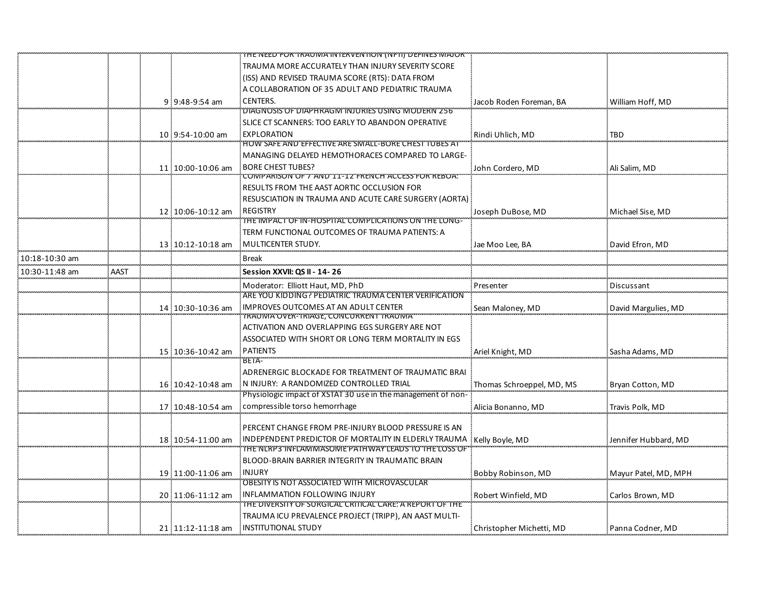|                |      |                   | THE NEED FOR TRAUWA INTERVENTION (NFTI) DEFINES MAJOR                   |                           |                      |
|----------------|------|-------------------|-------------------------------------------------------------------------|---------------------------|----------------------|
|                |      |                   | TRAUMA MORE ACCURATELY THAN INJURY SEVERITY SCORE                       |                           |                      |
|                |      |                   | (ISS) AND REVISED TRAUMA SCORE (RTS): DATA FROM                         |                           |                      |
|                |      |                   | A COLLABORATION OF 35 ADULT AND PEDIATRIC TRAUMA                        |                           |                      |
|                |      | 9 9:48-9:54 am    | <b>CENTERS.</b>                                                         | Jacob Roden Foreman, BA   | William Hoff, MD     |
|                |      |                   | DIAGNOSIS OF DIAPHRAGM INJURIES USING MODERN 256                        |                           |                      |
|                |      |                   | SLICE CT SCANNERS: TOO EARLY TO ABANDON OPERATIVE                       |                           |                      |
|                |      | 10 9:54-10:00 am  | <b>EXPLORATION</b>                                                      | Rindi Uhlich, MD          | <b>TBD</b>           |
|                |      |                   | HOW SAFE AND EFFECTIVE ARE SMALL-BORE CHEST TOBES AT                    |                           |                      |
|                |      |                   | MANAGING DELAYED HEMOTHORACES COMPARED TO LARGE-                        |                           |                      |
|                |      | 11 10:00-10:06 am | <b>BORE CHEST TUBES?</b>                                                | John Cordero, MD          | Ali Salim, MD        |
|                |      |                   | 'COMPARISON'OF'7'AND'11-12'FRENCH ACCESS FOR REBOA!'                    |                           |                      |
|                |      |                   | RESULTS FROM THE AAST AORTIC OCCLUSION FOR                              |                           |                      |
|                |      |                   | RESUSCIATION IN TRAUMA AND ACUTE CARE SURGERY (AORTA)                   |                           |                      |
|                |      | 12 10:06-10:12 am | <b>REGISTRY</b><br>THE IMPACT OF IN-HOSPITAL COMPLICATIONS ON THE LONG- | Joseph DuBose, MD         | Michael Sise, MD     |
|                |      |                   |                                                                         |                           |                      |
|                |      |                   | TERM FUNCTIONAL OUTCOMES OF TRAUMA PATIENTS: A                          |                           |                      |
|                |      | 13 10:12-10:18 am | MULTICENTER STUDY.                                                      | Jae Moo Lee, BA           | David Efron, MD      |
| 10:18-10:30 am |      |                   | <b>Break</b>                                                            |                           |                      |
| 10:30-11:48 am | AAST |                   | Session XXVII: QS II - 14-26                                            |                           |                      |
|                |      |                   | Moderator: Elliott Haut, MD, PhD                                        | Presenter                 | Discussant           |
|                |      |                   | ARE YOU KIDDING? PEDIATRIC TRAUMA CENTER VERIFICATION                   |                           |                      |
|                |      | 14 10:30-10:36 am | <b>IMPROVES OUTCOMES AT AN ADULT CENTER</b>                             | Sean Maloney, MD          | David Margulies, MD  |
|                |      |                   | TRAUMA OVER-TRIAGE, CONCORRENT TRAUMA                                   |                           |                      |
|                |      |                   | ACTIVATION AND OVERLAPPING EGS SURGERY ARE NOT                          |                           |                      |
|                |      |                   | ASSOCIATED WITH SHORT OR LONG TERM MORTALITY IN EGS                     |                           |                      |
|                |      | 15 10:36-10:42 am | <b>PATIENTS</b><br>BEIA-                                                | Ariel Knight, MD          | Sasha Adams, MD      |
|                |      |                   | ADRENERGIC BLOCKADE FOR TREATMENT OF TRAUMATIC BRAI                     |                           |                      |
|                |      | 16 10:42-10:48 am | N INJURY: A RANDOMIZED CONTROLLED TRIAL                                 | Thomas Schroeppel, MD, MS | Bryan Cotton, MD     |
|                |      |                   | Physiologic impact of XSTAT 30 use in the management of non-            |                           |                      |
|                |      | 17 10:48-10:54 am | compressible torso hemorrhage                                           | Alicia Bonanno, MD        | Travis Polk, MD      |
|                |      |                   |                                                                         |                           |                      |
|                |      |                   | PERCENT CHANGE FROM PRE-INJURY BLOOD PRESSURE IS AN                     |                           |                      |
|                |      | 18 10:54-11:00 am | INDEPENDENT PREDICTOR OF MORTALITY IN ELDERLY TRAUMA                    | Kelly Boyle, MD           | Jennifer Hubbard. MD |
|                |      |                   | THE NLRP3 INFLAMMASOME PATHWAY LEADS TO THE LOSS OF                     |                           |                      |
|                |      |                   | BLOOD-BRAIN BARRIER INTEGRITY IN TRAUMATIC BRAIN                        |                           |                      |
|                |      | 19 11:00-11:06 am | <b>INJURY</b>                                                           | Bobby Robinson, MD        | Mayur Patel, MD, MPH |
|                |      |                   | OBESITY IS NOT ASSOCIATED WITH MICROVASCULAR                            |                           |                      |
|                |      | 20 11:06-11:12 am | INFLAMMATION FOLLOWING INJURY                                           | Robert Winfield, MD       | Carlos Brown, MD     |
|                |      |                   | THE DIVERSITY OF SURGICAL CRITICAL CARE. A REPORT OF THE                |                           |                      |
|                |      |                   | TRAUMA ICU PREVALENCE PROJECT (TRIPP), AN AAST MULTI-                   |                           |                      |
|                |      | 21 11:12-11:18 am | INSTITUTIONAL STUDY                                                     | Christopher Michetti, MD  | Panna Codner, MD     |